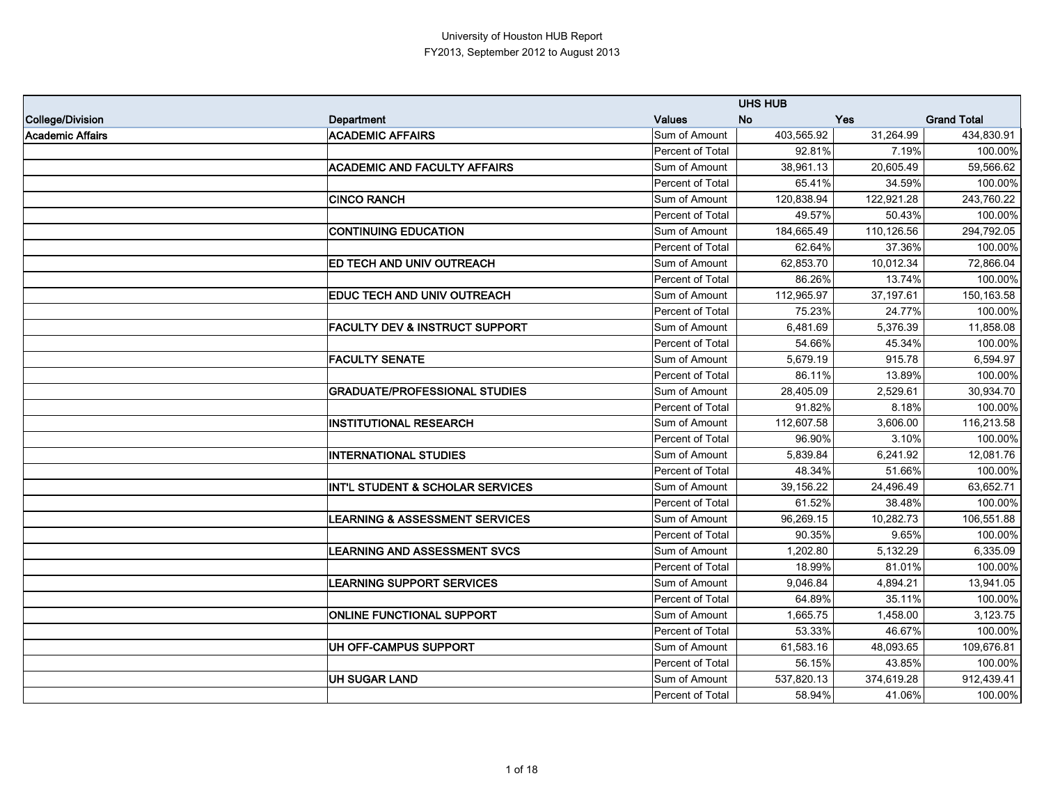|                  |                                             |                  | <b>UHS HUB</b> |            |                    |
|------------------|---------------------------------------------|------------------|----------------|------------|--------------------|
| College/Division | <b>Department</b>                           | <b>Values</b>    | <b>No</b>      | <b>Yes</b> | <b>Grand Total</b> |
| Academic Affairs | <b>ACADEMIC AFFAIRS</b>                     | Sum of Amount    | 403,565.92     | 31,264.99  | 434,830.91         |
|                  |                                             | Percent of Total | 92.81%         | 7.19%      | 100.00%            |
|                  | <b>ACADEMIC AND FACULTY AFFAIRS</b>         | Sum of Amount    | 38,961.13      | 20,605.49  | 59,566.62          |
|                  |                                             | Percent of Total | 65.41%         | 34.59%     | 100.00%            |
|                  | <b>CINCO RANCH</b>                          | Sum of Amount    | 120,838.94     | 122,921.28 | 243,760.22         |
|                  |                                             | Percent of Total | 49.57%         | 50.43%     | 100.00%            |
|                  | <b>CONTINUING EDUCATION</b>                 | Sum of Amount    | 184,665.49     | 110,126.56 | 294,792.05         |
|                  |                                             | Percent of Total | 62.64%         | 37.36%     | 100.00%            |
|                  | <b>ED TECH AND UNIV OUTREACH</b>            | Sum of Amount    | 62,853.70      | 10,012.34  | 72,866.04          |
|                  |                                             | Percent of Total | 86.26%         | 13.74%     | 100.00%            |
|                  | EDUC TECH AND UNIV OUTREACH                 | Sum of Amount    | 112,965.97     | 37,197.61  | 150,163.58         |
|                  |                                             | Percent of Total | 75.23%         | 24.77%     | 100.00%            |
|                  | <b>FACULTY DEV &amp; INSTRUCT SUPPORT</b>   | Sum of Amount    | 6,481.69       | 5,376.39   | 11,858.08          |
|                  |                                             | Percent of Total | 54.66%         | 45.34%     | 100.00%            |
|                  | <b>FACULTY SENATE</b>                       | Sum of Amount    | 5,679.19       | 915.78     | 6,594.97           |
|                  |                                             | Percent of Total | 86.11%         | 13.89%     | 100.00%            |
|                  | <b>GRADUATE/PROFESSIONAL STUDIES</b>        | Sum of Amount    | 28,405.09      | 2,529.61   | 30,934.70          |
|                  |                                             | Percent of Total | 91.82%         | 8.18%      | 100.00%            |
|                  | <b>INSTITUTIONAL RESEARCH</b>               | Sum of Amount    | 112,607.58     | 3,606.00   | 116,213.58         |
|                  |                                             | Percent of Total | 96.90%         | 3.10%      | 100.00%            |
|                  | <b>INTERNATIONAL STUDIES</b>                | Sum of Amount    | 5,839.84       | 6,241.92   | 12,081.76          |
|                  |                                             | Percent of Total | 48.34%         | 51.66%     | 100.00%            |
|                  | <b>INT'L STUDENT &amp; SCHOLAR SERVICES</b> | Sum of Amount    | 39,156.22      | 24,496.49  | 63,652.71          |
|                  |                                             | Percent of Total | 61.52%         | 38.48%     | 100.00%            |
|                  | <b>LEARNING &amp; ASSESSMENT SERVICES</b>   | Sum of Amount    | 96,269.15      | 10,282.73  | 106,551.88         |
|                  |                                             | Percent of Total | 90.35%         | 9.65%      | 100.00%            |
|                  | <b>LEARNING AND ASSESSMENT SVCS</b>         | Sum of Amount    | 1,202.80       | 5,132.29   | 6,335.09           |
|                  |                                             | Percent of Total | 18.99%         | 81.01%     | 100.00%            |
|                  | <b>LEARNING SUPPORT SERVICES</b>            | Sum of Amount    | 9,046.84       | 4,894.21   | 13,941.05          |
|                  |                                             | Percent of Total | 64.89%         | 35.11%     | 100.00%            |
|                  | <b>ONLINE FUNCTIONAL SUPPORT</b>            | Sum of Amount    | 1,665.75       | 1,458.00   | 3,123.75           |
|                  |                                             | Percent of Total | 53.33%         | 46.67%     | 100.00%            |
|                  | UH OFF-CAMPUS SUPPORT                       | Sum of Amount    | 61,583.16      | 48,093.65  | 109,676.81         |
|                  |                                             | Percent of Total | 56.15%         | 43.85%     | 100.00%            |
|                  | <b>UH SUGAR LAND</b>                        | Sum of Amount    | 537,820.13     | 374,619.28 | 912,439.41         |
|                  |                                             | Percent of Total | 58.94%         | 41.06%     | 100.00%            |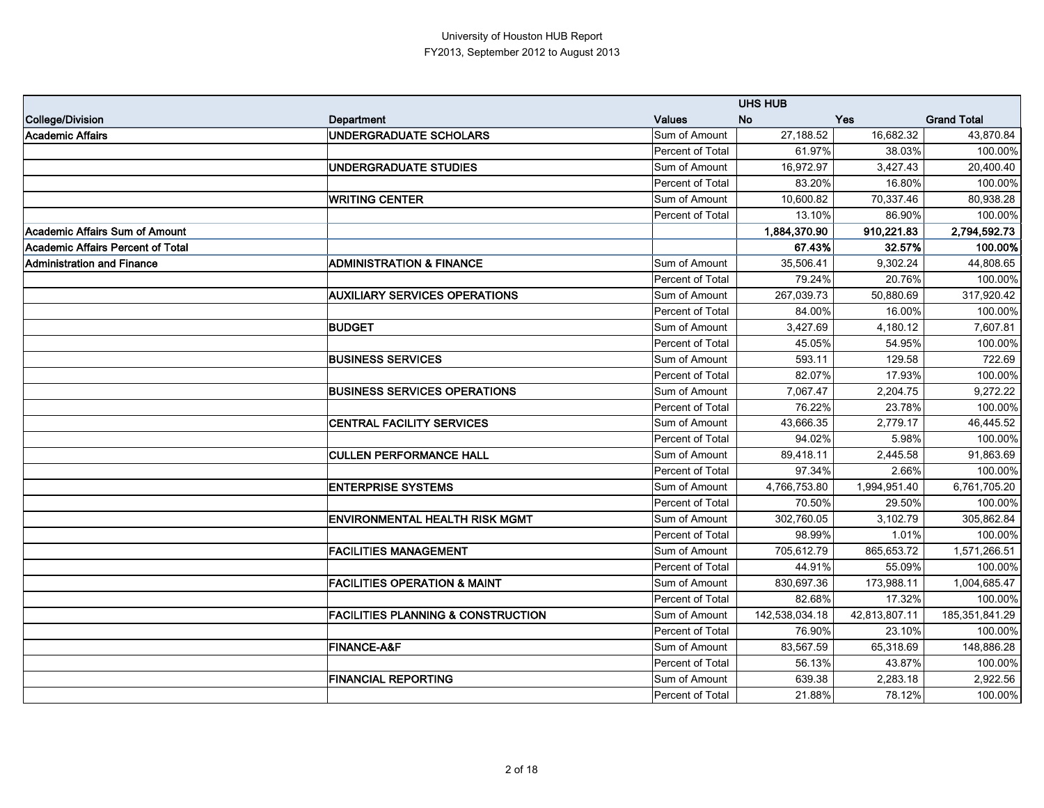|                                   |                                               |                  | <b>UHS HUB</b> |               |                    |
|-----------------------------------|-----------------------------------------------|------------------|----------------|---------------|--------------------|
| College/Division                  | <b>Department</b>                             | <b>Values</b>    | <b>No</b>      | <b>Yes</b>    | <b>Grand Total</b> |
| Academic Affairs                  | <b>UNDERGRADUATE SCHOLARS</b>                 | Sum of Amount    | 27,188.52      | 16,682.32     | 43,870.84          |
|                                   |                                               | Percent of Total | 61.97%         | 38.03%        | 100.00%            |
|                                   | <b>UNDERGRADUATE STUDIES</b>                  | Sum of Amount    | 16,972.97      | 3,427.43      | 20,400.40          |
|                                   |                                               | Percent of Total | 83.20%         | 16.80%        | 100.00%            |
|                                   | <b>WRITING CENTER</b>                         | Sum of Amount    | 10,600.82      | 70,337.46     | 80,938.28          |
|                                   |                                               | Percent of Total | 13.10%         | 86.90%        | 100.00%            |
| Academic Affairs Sum of Amount    |                                               |                  | 1,884,370.90   | 910,221.83    | 2,794,592.73       |
| Academic Affairs Percent of Total |                                               |                  | 67.43%         | 32.57%        | 100.00%            |
| Administration and Finance        | <b>ADMINISTRATION &amp; FINANCE</b>           | Sum of Amount    | 35,506.41      | 9,302.24      | 44,808.65          |
|                                   |                                               | Percent of Total | 79.24%         | 20.76%        | 100.00%            |
|                                   | <b>AUXILIARY SERVICES OPERATIONS</b>          | Sum of Amount    | 267,039.73     | 50,880.69     | 317,920.42         |
|                                   |                                               | Percent of Total | 84.00%         | 16.00%        | 100.00%            |
|                                   | <b>BUDGET</b>                                 | Sum of Amount    | 3,427.69       | 4,180.12      | 7,607.81           |
|                                   |                                               | Percent of Total | 45.05%         | 54.95%        | 100.00%            |
|                                   | <b>BUSINESS SERVICES</b>                      | Sum of Amount    | 593.11         | 129.58        | 722.69             |
|                                   |                                               | Percent of Total | 82.07%         | 17.93%        | 100.00%            |
|                                   | <b>BUSINESS SERVICES OPERATIONS</b>           | Sum of Amount    | 7,067.47       | 2,204.75      | 9,272.22           |
|                                   |                                               | Percent of Total | 76.22%         | 23.78%        | 100.00%            |
|                                   | <b>CENTRAL FACILITY SERVICES</b>              | Sum of Amount    | 43,666.35      | 2,779.17      | 46,445.52          |
|                                   |                                               | Percent of Total | 94.02%         | 5.98%         | 100.00%            |
|                                   | <b>CULLEN PERFORMANCE HALL</b>                | Sum of Amount    | 89,418.11      | 2,445.58      | 91,863.69          |
|                                   |                                               | Percent of Total | 97.34%         | 2.66%         | 100.00%            |
|                                   | <b>ENTERPRISE SYSTEMS</b>                     | Sum of Amount    | 4,766,753.80   | 1,994,951.40  | 6,761,705.20       |
|                                   |                                               | Percent of Total | 70.50%         | 29.50%        | 100.00%            |
|                                   | <b>ENVIRONMENTAL HEALTH RISK MGMT</b>         | Sum of Amount    | 302,760.05     | 3,102.79      | 305,862.84         |
|                                   |                                               | Percent of Total | 98.99%         | 1.01%         | 100.00%            |
|                                   | <b>FACILITIES MANAGEMENT</b>                  | Sum of Amount    | 705,612.79     | 865,653.72    | 1,571,266.51       |
|                                   |                                               | Percent of Total | 44.91%         | 55.09%        | 100.00%            |
|                                   | <b>FACILITIES OPERATION &amp; MAINT</b>       | Sum of Amount    | 830,697.36     | 173,988.11    | 1,004,685.47       |
|                                   |                                               | Percent of Total | 82.68%         | 17.32%        | 100.00%            |
|                                   | <b>FACILITIES PLANNING &amp; CONSTRUCTION</b> | Sum of Amount    | 142,538,034.18 | 42,813,807.11 | 185,351,841.29     |
|                                   |                                               | Percent of Total | 76.90%         | 23.10%        | 100.00%            |
|                                   | <b>FINANCE-A&amp;F</b>                        | Sum of Amount    | 83,567.59      | 65,318.69     | 148,886.28         |
|                                   |                                               | Percent of Total | 56.13%         | 43.87%        | 100.00%            |
|                                   | <b>FINANCIAL REPORTING</b>                    | Sum of Amount    | 639.38         | 2,283.18      | 2,922.56           |
|                                   |                                               | Percent of Total | 21.88%         | 78.12%        | 100.00%            |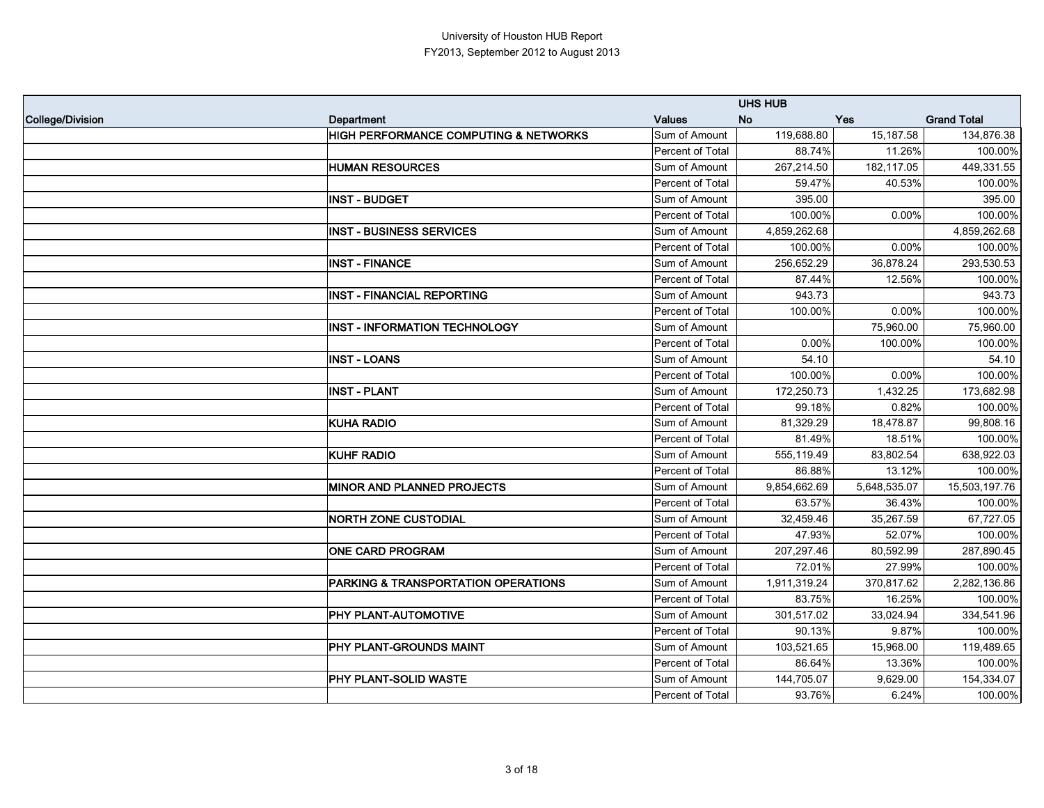|                  |                                                  |                  | <b>UHS HUB</b>   |              |                    |
|------------------|--------------------------------------------------|------------------|------------------|--------------|--------------------|
| College/Division | Department                                       | <b>Values</b>    | <b>No</b><br>Yes |              | <b>Grand Total</b> |
|                  | <b>HIGH PERFORMANCE COMPUTING &amp; NETWORKS</b> | Sum of Amount    | 119,688.80       | 15,187.58    | 134,876.38         |
|                  |                                                  | Percent of Total | 88.74%           | 11.26%       | 100.00%            |
|                  | <b>HUMAN RESOURCES</b>                           | Sum of Amount    | 267,214.50       | 182,117.05   | 449,331.55         |
|                  |                                                  | Percent of Total | 59.47%           | 40.53%       | 100.00%            |
|                  | <b>INST - BUDGET</b>                             | Sum of Amount    | 395.00           |              | 395.00             |
|                  |                                                  | Percent of Total | 100.00%          | 0.00%        | 100.00%            |
|                  | <b>INST - BUSINESS SERVICES</b>                  | Sum of Amount    | 4,859,262.68     |              | 4,859,262.68       |
|                  |                                                  | Percent of Total | 100.00%          | 0.00%        | 100.00%            |
|                  | <b>INST - FINANCE</b>                            | Sum of Amount    | 256,652.29       | 36,878.24    | 293,530.53         |
|                  |                                                  | Percent of Total | 87.44%           | 12.56%       | 100.00%            |
|                  | <b>INST - FINANCIAL REPORTING</b>                | Sum of Amount    | 943.73           |              | 943.73             |
|                  |                                                  | Percent of Total | 100.00%          | 0.00%        | 100.00%            |
|                  | <b>INST - INFORMATION TECHNOLOGY</b>             | Sum of Amount    |                  | 75,960.00    | 75,960.00          |
|                  |                                                  | Percent of Total | 0.00%            | 100.00%      | 100.00%            |
|                  | <b>INST - LOANS</b>                              | Sum of Amount    | 54.10            |              | 54.10              |
|                  |                                                  | Percent of Total | 100.00%          | 0.00%        | 100.00%            |
|                  | <b>INST - PLANT</b>                              | Sum of Amount    | 172,250.73       | 1,432.25     | 173,682.98         |
|                  |                                                  | Percent of Total | 99.18%           | 0.82%        | 100.00%            |
|                  | <b>KUHA RADIO</b>                                | Sum of Amount    | 81,329.29        | 18,478.87    | 99,808.16          |
|                  |                                                  | Percent of Total | 81.49%           | 18.51%       | 100.00%            |
|                  | <b>KUHF RADIO</b>                                | Sum of Amount    | 555,119.49       | 83,802.54    | 638,922.03         |
|                  |                                                  | Percent of Total | 86.88%           | 13.12%       | 100.00%            |
|                  | <b>MINOR AND PLANNED PROJECTS</b>                | Sum of Amount    | 9,854,662.69     | 5,648,535.07 | 15,503,197.76      |
|                  |                                                  | Percent of Total | 63.57%           | 36.43%       | 100.00%            |
|                  | <b>NORTH ZONE CUSTODIAL</b>                      | Sum of Amount    | 32,459.46        | 35,267.59    | 67,727.05          |
|                  |                                                  | Percent of Total | 47.93%           | 52.07%       | 100.00%            |
|                  | <b>ONE CARD PROGRAM</b>                          | Sum of Amount    | 207,297.46       | 80,592.99    | 287,890.45         |
|                  |                                                  | Percent of Total | 72.01%           | 27.99%       | 100.00%            |
|                  | <b>PARKING &amp; TRANSPORTATION OPERATIONS</b>   | Sum of Amount    | 1,911,319.24     | 370,817.62   | 2,282,136.86       |
|                  |                                                  | Percent of Total | 83.75%           | 16.25%       | 100.00%            |
|                  | PHY PLANT-AUTOMOTIVE                             | Sum of Amount    | 301,517.02       | 33,024.94    | 334,541.96         |
|                  |                                                  | Percent of Total | 90.13%           | 9.87%        | 100.00%            |
|                  | PHY PLANT-GROUNDS MAINT                          | Sum of Amount    | 103,521.65       | 15,968.00    | 119,489.65         |
|                  |                                                  | Percent of Total | 86.64%           | 13.36%       | 100.00%            |
|                  | PHY PLANT-SOLID WASTE                            | Sum of Amount    | 144,705.07       | 9,629.00     | 154,334.07         |
|                  |                                                  | Percent of Total | 93.76%           | 6.24%        | 100.00%            |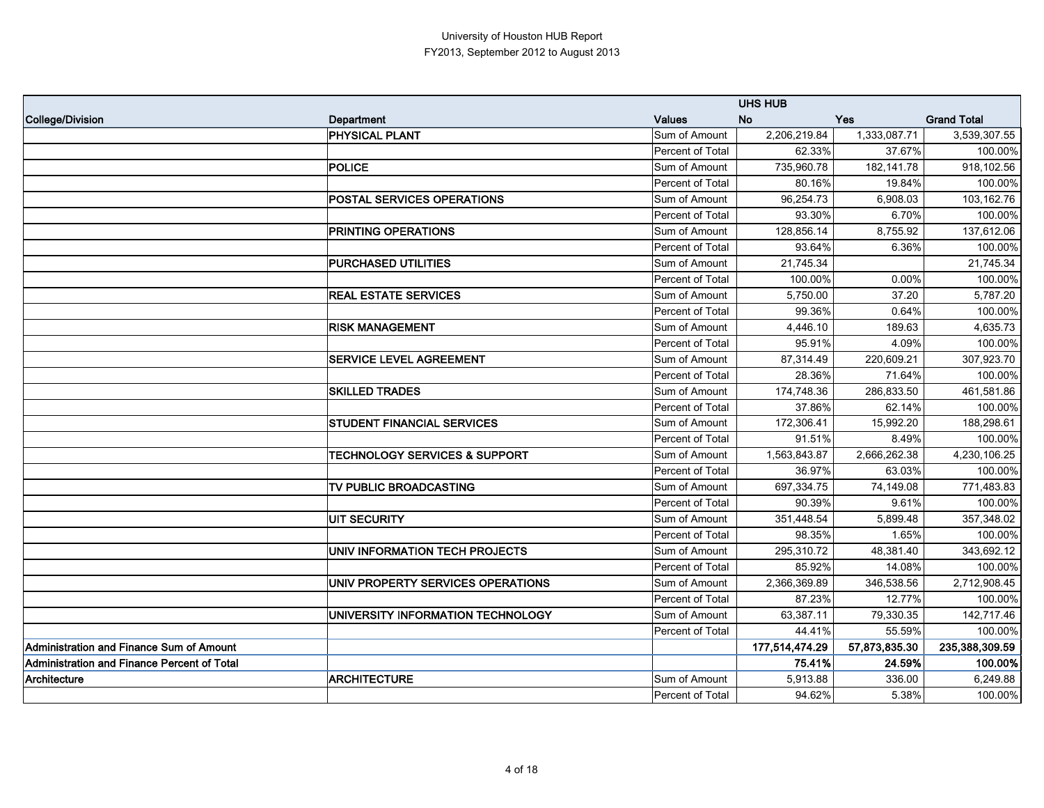|                                                 |                                          |                  | <b>UHS HUB</b> |               |                    |
|-------------------------------------------------|------------------------------------------|------------------|----------------|---------------|--------------------|
| College/Division                                | <b>Department</b>                        | <b>Values</b>    | <b>No</b>      | Yes           | <b>Grand Total</b> |
|                                                 | PHYSICAL PLANT                           | Sum of Amount    | 2,206,219.84   | 1,333,087.71  | 3,539,307.55       |
|                                                 |                                          | Percent of Total | 62.33%         | 37.67%        | 100.00%            |
|                                                 | <b>POLICE</b>                            | Sum of Amount    | 735,960.78     | 182, 141.78   | 918,102.56         |
|                                                 |                                          | Percent of Total | 80.16%         | 19.84%        | 100.00%            |
|                                                 | POSTAL SERVICES OPERATIONS               | Sum of Amount    | 96,254.73      | 6,908.03      | 103,162.76         |
|                                                 |                                          | Percent of Total | 93.30%         | 6.70%         | 100.00%            |
|                                                 | PRINTING OPERATIONS                      | Sum of Amount    | 128,856.14     | 8,755.92      | 137,612.06         |
|                                                 |                                          | Percent of Total | 93.64%         | 6.36%         | 100.00%            |
|                                                 | <b>PURCHASED UTILITIES</b>               | Sum of Amount    | 21,745.34      |               | 21,745.34          |
|                                                 |                                          | Percent of Total | 100.00%        | 0.00%         | 100.00%            |
|                                                 | <b>REAL ESTATE SERVICES</b>              | Sum of Amount    | 5,750.00       | 37.20         | 5,787.20           |
|                                                 |                                          | Percent of Total | 99.36%         | 0.64%         | 100.00%            |
|                                                 | <b>RISK MANAGEMENT</b>                   | Sum of Amount    | 4,446.10       | 189.63        | 4,635.73           |
|                                                 |                                          | Percent of Total | 95.91%         | 4.09%         | 100.00%            |
|                                                 | <b>SERVICE LEVEL AGREEMENT</b>           | Sum of Amount    | 87,314.49      | 220,609.21    | 307,923.70         |
|                                                 |                                          | Percent of Total | 28.36%         | 71.64%        | 100.00%            |
|                                                 | <b>SKILLED TRADES</b>                    | Sum of Amount    | 174,748.36     | 286,833.50    | 461,581.86         |
|                                                 |                                          | Percent of Total | 37.86%         | 62.14%        | 100.00%            |
|                                                 | <b>STUDENT FINANCIAL SERVICES</b>        | Sum of Amount    | 172,306.41     | 15,992.20     | 188,298.61         |
|                                                 |                                          | Percent of Total | 91.51%         | 8.49%         | 100.00%            |
|                                                 | <b>TECHNOLOGY SERVICES &amp; SUPPORT</b> | Sum of Amount    | 1,563,843.87   | 2,666,262.38  | 4,230,106.25       |
|                                                 |                                          | Percent of Total | 36.97%         | 63.03%        | 100.00%            |
|                                                 | TV PUBLIC BROADCASTING                   | Sum of Amount    | 697,334.75     | 74,149.08     | 771,483.83         |
|                                                 |                                          | Percent of Total | 90.39%         | 9.61%         | 100.00%            |
|                                                 | <b>UIT SECURITY</b>                      | Sum of Amount    | 351,448.54     | 5,899.48      | 357,348.02         |
|                                                 |                                          | Percent of Total | 98.35%         | 1.65%         | 100.00%            |
|                                                 | UNIV INFORMATION TECH PROJECTS           | Sum of Amount    | 295,310.72     | 48,381.40     | 343,692.12         |
|                                                 |                                          | Percent of Total | 85.92%         | 14.08%        | 100.00%            |
|                                                 | UNIV PROPERTY SERVICES OPERATIONS        | Sum of Amount    | 2,366,369.89   | 346,538.56    | 2,712,908.45       |
|                                                 |                                          | Percent of Total | 87.23%         | 12.77%        | 100.00%            |
|                                                 | UNIVERSITY INFORMATION TECHNOLOGY        | Sum of Amount    | 63,387.11      | 79,330.35     | 142,717.46         |
|                                                 |                                          | Percent of Total | 44.41%         | 55.59%        | 100.00%            |
| <b>Administration and Finance Sum of Amount</b> |                                          |                  | 177,514,474.29 | 57,873,835.30 | 235,388,309.59     |
| Administration and Finance Percent of Total     |                                          |                  | 75.41%         | 24.59%        | 100.00%            |
| Architecture                                    | <b>ARCHITECTURE</b>                      | Sum of Amount    | 5,913.88       | 336.00        | 6,249.88           |
|                                                 |                                          | Percent of Total | 94.62%         | 5.38%         | 100.00%            |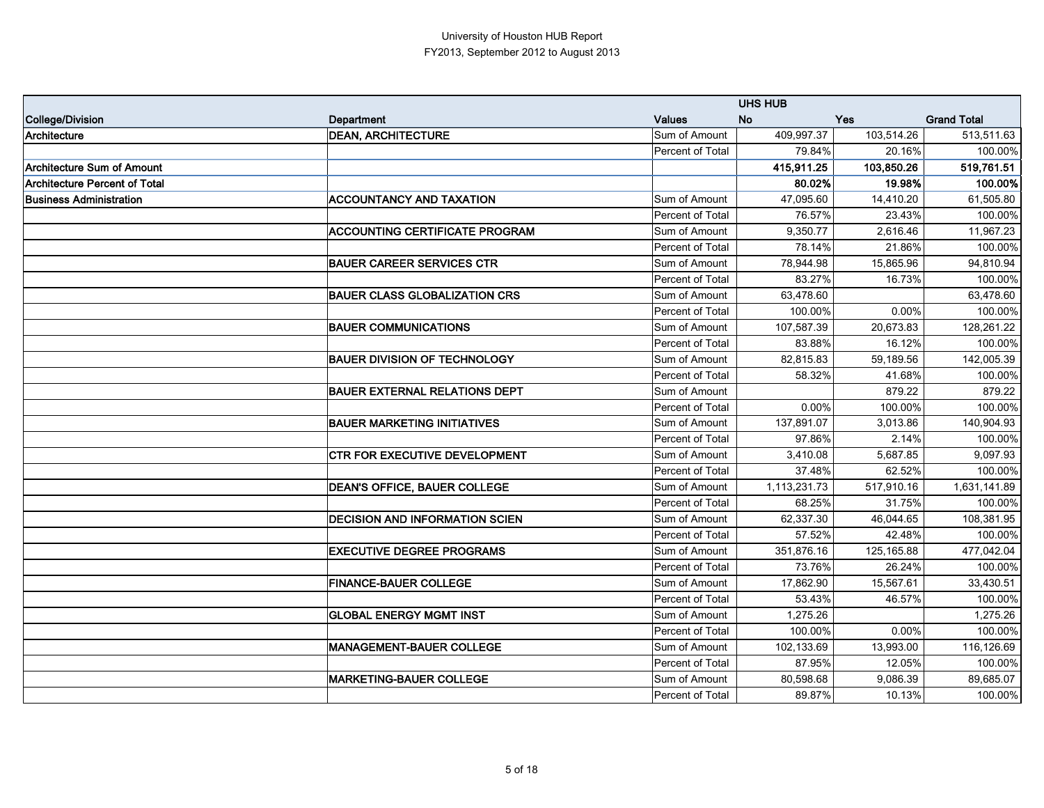|                                      |                                       |                         | <b>UHS HUB</b> |            |                    |
|--------------------------------------|---------------------------------------|-------------------------|----------------|------------|--------------------|
| College/Division                     | <b>Department</b>                     | <b>Values</b>           | <b>No</b>      | Yes        | <b>Grand Total</b> |
| Architecture                         | <b>DEAN, ARCHITECTURE</b>             | Sum of Amount           | 409,997.37     | 103,514.26 | 513,511.63         |
|                                      |                                       | Percent of Total        | 79.84%         | 20.16%     | 100.00%            |
| Architecture Sum of Amount           |                                       |                         | 415,911.25     | 103,850.26 | 519,761.51         |
| <b>Architecture Percent of Total</b> |                                       |                         | 80.02%         | 19.98%     | 100.00%            |
| <b>Business Administration</b>       | <b>ACCOUNTANCY AND TAXATION</b>       | Sum of Amount           | 47,095.60      | 14,410.20  | 61,505.80          |
|                                      |                                       | Percent of Total        | 76.57%         | 23.43%     | 100.00%            |
|                                      | <b>ACCOUNTING CERTIFICATE PROGRAM</b> | Sum of Amount           | 9,350.77       | 2,616.46   | 11,967.23          |
|                                      |                                       | <b>Percent of Total</b> | 78.14%         | 21.86%     | 100.00%            |
|                                      | <b>BAUER CAREER SERVICES CTR</b>      | Sum of Amount           | 78,944.98      | 15,865.96  | 94,810.94          |
|                                      |                                       | Percent of Total        | 83.27%         | 16.73%     | 100.00%            |
|                                      | <b>BAUER CLASS GLOBALIZATION CRS</b>  | Sum of Amount           | 63,478.60      |            | 63,478.60          |
|                                      |                                       | Percent of Total        | 100.00%        | 0.00%      | 100.00%            |
|                                      | <b>BAUER COMMUNICATIONS</b>           | Sum of Amount           | 107,587.39     | 20,673.83  | 128,261.22         |
|                                      |                                       | Percent of Total        | 83.88%         | 16.12%     | 100.00%            |
|                                      | <b>BAUER DIVISION OF TECHNOLOGY</b>   | Sum of Amount           | 82,815.83      | 59,189.56  | 142,005.39         |
|                                      |                                       | Percent of Total        | 58.32%         | 41.68%     | 100.00%            |
|                                      | <b>BAUER EXTERNAL RELATIONS DEPT</b>  | Sum of Amount           |                | 879.22     | 879.22             |
|                                      |                                       | Percent of Total        | 0.00%          | 100.00%    | 100.00%            |
|                                      | <b>BAUER MARKETING INITIATIVES</b>    | Sum of Amount           | 137,891.07     | 3,013.86   | 140,904.93         |
|                                      |                                       | Percent of Total        | 97.86%         | 2.14%      | 100.00%            |
|                                      | <b>CTR FOR EXECUTIVE DEVELOPMENT</b>  | Sum of Amount           | 3,410.08       | 5,687.85   | 9,097.93           |
|                                      |                                       | Percent of Total        | 37.48%         | 62.52%     | 100.00%            |
|                                      | DEAN'S OFFICE, BAUER COLLEGE          | Sum of Amount           | 1,113,231.73   | 517,910.16 | 1,631,141.89       |
|                                      |                                       | Percent of Total        | 68.25%         | 31.75%     | 100.00%            |
|                                      | <b>DECISION AND INFORMATION SCIEN</b> | Sum of Amount           | 62,337.30      | 46,044.65  | 108,381.95         |
|                                      |                                       | Percent of Total        | 57.52%         | 42.48%     | 100.00%            |
|                                      | <b>EXECUTIVE DEGREE PROGRAMS</b>      | Sum of Amount           | 351,876.16     | 125,165.88 | 477,042.04         |
|                                      |                                       | Percent of Total        | 73.76%         | 26.24%     | 100.00%            |
|                                      | <b>FINANCE-BAUER COLLEGE</b>          | Sum of Amount           | 17,862.90      | 15,567.61  | 33,430.51          |
|                                      |                                       | Percent of Total        | 53.43%         | 46.57%     | 100.00%            |
|                                      | <b>GLOBAL ENERGY MGMT INST</b>        | Sum of Amount           | 1,275.26       |            | 1,275.26           |
|                                      |                                       | Percent of Total        | 100.00%        | 0.00%      | 100.00%            |
|                                      | <b>MANAGEMENT-BAUER COLLEGE</b>       | Sum of Amount           | 102,133.69     | 13,993.00  | 116,126.69         |
|                                      |                                       | Percent of Total        | 87.95%         | 12.05%     | 100.00%            |
|                                      | <b>MARKETING-BAUER COLLEGE</b>        | Sum of Amount           | 80,598.68      | 9,086.39   | 89,685.07          |
|                                      |                                       | Percent of Total        | 89.87%         | 10.13%     | 100.00%            |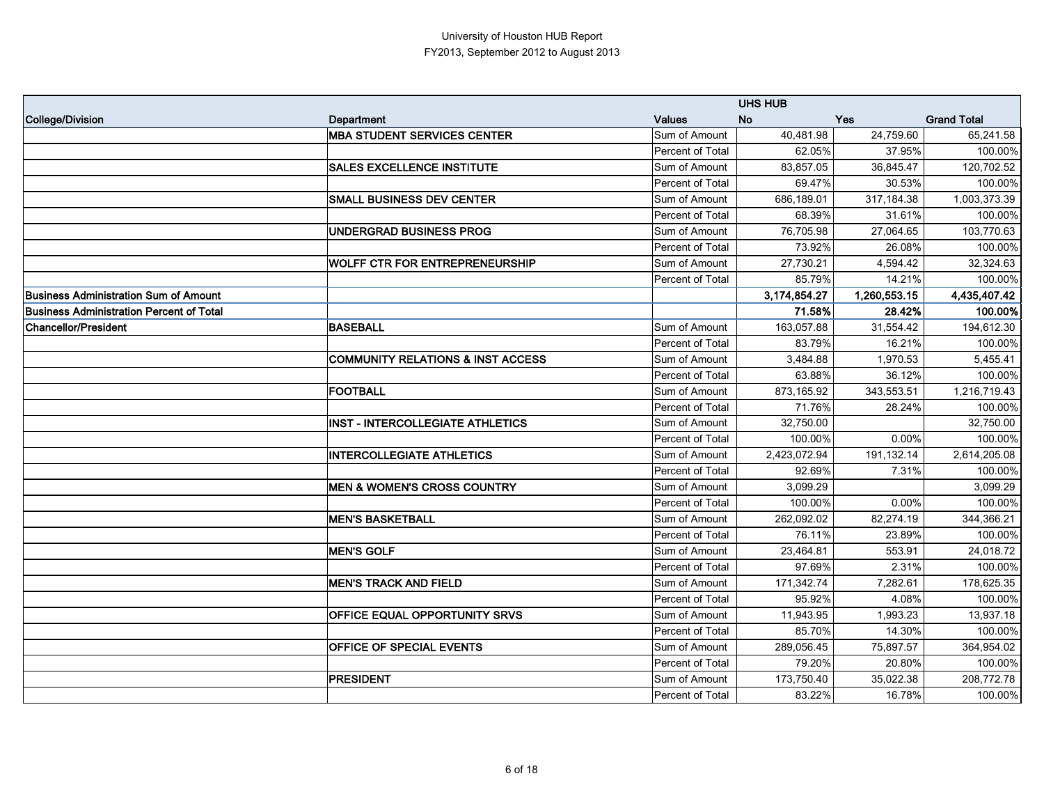|                                                 |                                              |                  | <b>UHS HUB</b> |              |                    |
|-------------------------------------------------|----------------------------------------------|------------------|----------------|--------------|--------------------|
| College/Division                                | <b>Department</b>                            | <b>Values</b>    | <b>No</b>      | Yes          | <b>Grand Total</b> |
|                                                 | <b>MBA STUDENT SERVICES CENTER</b>           | Sum of Amount    | 40,481.98      | 24,759.60    | 65,241.58          |
|                                                 |                                              | Percent of Total | 62.05%         | 37.95%       | 100.00%            |
|                                                 | <b>SALES EXCELLENCE INSTITUTE</b>            | Sum of Amount    | 83,857.05      | 36,845.47    | 120,702.52         |
|                                                 |                                              | Percent of Total | 69.47%         | 30.53%       | 100.00%            |
|                                                 | <b>SMALL BUSINESS DEV CENTER</b>             | Sum of Amount    | 686,189.01     | 317,184.38   | 1,003,373.39       |
|                                                 |                                              | Percent of Total | 68.39%         | 31.61%       | 100.00%            |
|                                                 | <b>UNDERGRAD BUSINESS PROG</b>               | Sum of Amount    | 76,705.98      | 27,064.65    | 103,770.63         |
|                                                 |                                              | Percent of Total | 73.92%         | 26.08%       | 100.00%            |
|                                                 | <b>WOLFF CTR FOR ENTREPRENEURSHIP</b>        | Sum of Amount    | 27,730.21      | 4,594.42     | 32,324.63          |
|                                                 |                                              | Percent of Total | 85.79%         | 14.21%       | 100.00%            |
| <b>Business Administration Sum of Amount</b>    |                                              |                  | 3,174,854.27   | 1,260,553.15 | 4,435,407.42       |
| <b>Business Administration Percent of Total</b> |                                              |                  | 71.58%         | 28.42%       | 100.00%            |
| Chancellor/President                            | <b>BASEBALL</b>                              | Sum of Amount    | 163,057.88     | 31,554.42    | 194,612.30         |
|                                                 |                                              | Percent of Total | 83.79%         | 16.21%       | 100.00%            |
|                                                 | <b>COMMUNITY RELATIONS &amp; INST ACCESS</b> | Sum of Amount    | 3,484.88       | 1,970.53     | 5,455.41           |
|                                                 |                                              | Percent of Total | 63.88%         | 36.12%       | 100.00%            |
|                                                 | FOOTBALL                                     | Sum of Amount    | 873,165.92     | 343,553.51   | 1,216,719.43       |
|                                                 |                                              | Percent of Total | 71.76%         | 28.24%       | 100.00%            |
|                                                 | <b>INST - INTERCOLLEGIATE ATHLETICS</b>      | Sum of Amount    | 32,750.00      |              | 32,750.00          |
|                                                 |                                              | Percent of Total | 100.00%        | 0.00%        | 100.00%            |
|                                                 | <b>INTERCOLLEGIATE ATHLETICS</b>             | Sum of Amount    | 2,423,072.94   | 191,132.14   | 2,614,205.08       |
|                                                 |                                              | Percent of Total | 92.69%         | 7.31%        | 100.00%            |
|                                                 | <b>MEN &amp; WOMEN'S CROSS COUNTRY</b>       | Sum of Amount    | 3,099.29       |              | 3,099.29           |
|                                                 |                                              | Percent of Total | 100.00%        | 0.00%        | 100.00%            |
|                                                 | <b>MEN'S BASKETBALL</b>                      | Sum of Amount    | 262,092.02     | 82,274.19    | 344,366.21         |
|                                                 |                                              | Percent of Total | 76.11%         | 23.89%       | 100.00%            |
|                                                 | <b>MEN'S GOLF</b>                            | Sum of Amount    | 23,464.81      | 553.91       | 24,018.72          |
|                                                 |                                              | Percent of Total | 97.69%         | 2.31%        | 100.00%            |
|                                                 | <b>MEN'S TRACK AND FIELD</b>                 | Sum of Amount    | 171,342.74     | 7,282.61     | 178,625.35         |
|                                                 |                                              | Percent of Total | 95.92%         | 4.08%        | 100.00%            |
|                                                 | OFFICE EQUAL OPPORTUNITY SRVS                | Sum of Amount    | 11,943.95      | 1,993.23     | 13,937.18          |
|                                                 |                                              | Percent of Total | 85.70%         | 14.30%       | 100.00%            |
|                                                 | <b>OFFICE OF SPECIAL EVENTS</b>              | Sum of Amount    | 289,056.45     | 75,897.57    | 364,954.02         |
|                                                 |                                              | Percent of Total | 79.20%         | 20.80%       | 100.00%            |
|                                                 | <b>PRESIDENT</b>                             | Sum of Amount    | 173,750.40     | 35,022.38    | 208,772.78         |
|                                                 |                                              | Percent of Total | 83.22%         | 16.78%       | 100.00%            |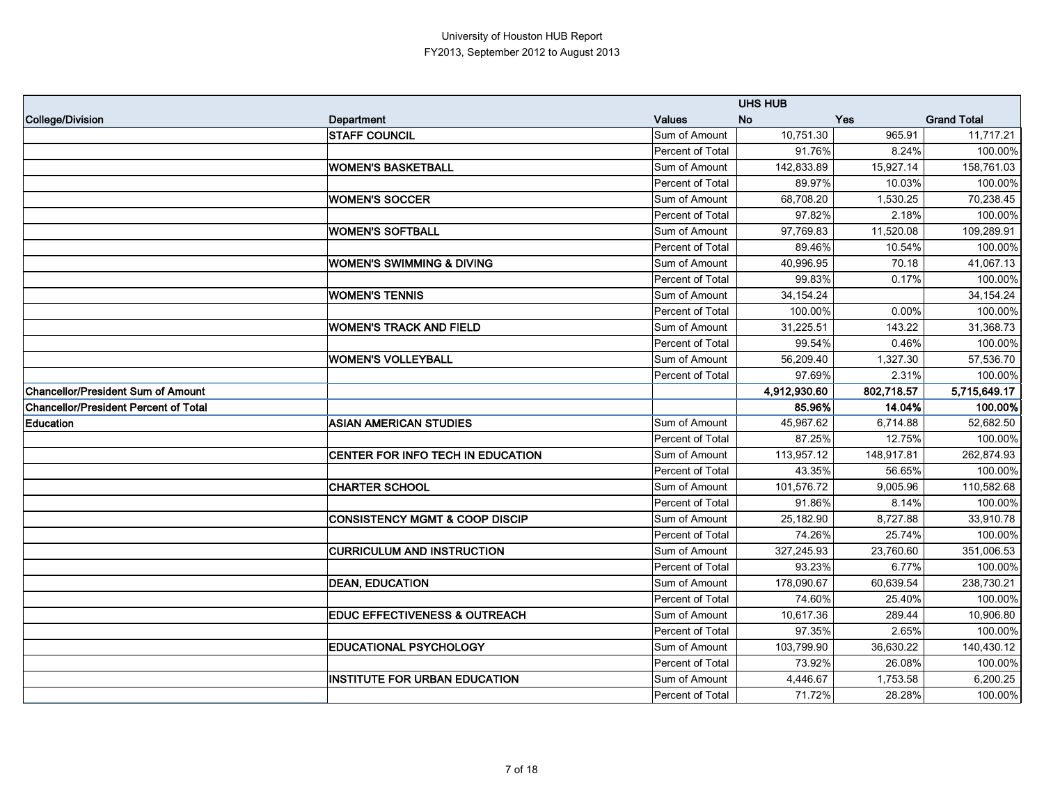|                                              |                                           |                  | <b>UHS HUB</b> |            |                    |
|----------------------------------------------|-------------------------------------------|------------------|----------------|------------|--------------------|
| College/Division                             | Department                                | <b>Values</b>    | <b>No</b>      | Yes        | <b>Grand Total</b> |
|                                              | <b>STAFF COUNCIL</b>                      | Sum of Amount    | 10,751.30      | 965.91     | 11,717.21          |
|                                              |                                           | Percent of Total | 91.76%         | 8.24%      | 100.00%            |
|                                              | <b>WOMEN'S BASKETBALL</b>                 | Sum of Amount    | 142,833.89     | 15,927.14  | 158,761.03         |
|                                              |                                           | Percent of Total | 89.97%         | 10.03%     | 100.00%            |
|                                              | <b>WOMEN'S SOCCER</b>                     | Sum of Amount    | 68,708.20      | 1,530.25   | 70,238.45          |
|                                              |                                           | Percent of Total | 97.82%         | 2.18%      | 100.00%            |
|                                              | <b>WOMEN'S SOFTBALL</b>                   | Sum of Amount    | 97,769.83      | 11,520.08  | 109,289.91         |
|                                              |                                           | Percent of Total | 89.46%         | 10.54%     | 100.00%            |
|                                              | <b>WOMEN'S SWIMMING &amp; DIVING</b>      | Sum of Amount    | 40,996.95      | 70.18      | 41,067.13          |
|                                              |                                           | Percent of Total | 99.83%         | 0.17%      | 100.00%            |
|                                              | <b>WOMEN'S TENNIS</b>                     | Sum of Amount    | 34,154.24      |            | 34, 154. 24        |
|                                              |                                           | Percent of Total | 100.00%        | 0.00%      | 100.00%            |
|                                              | <b>WOMEN'S TRACK AND FIELD</b>            | Sum of Amount    | 31,225.51      | 143.22     | 31,368.73          |
|                                              |                                           | Percent of Total | 99.54%         | 0.46%      | 100.00%            |
|                                              | <b>WOMEN'S VOLLEYBALL</b>                 | Sum of Amount    | 56,209.40      | 1,327.30   | 57,536.70          |
|                                              |                                           | Percent of Total | 97.69%         | 2.31%      | 100.00%            |
| <b>Chancellor/President Sum of Amount</b>    |                                           |                  | 4,912,930.60   | 802,718.57 | 5,715,649.17       |
| <b>Chancellor/President Percent of Total</b> |                                           |                  | 85.96%         | 14.04%     | 100.00%            |
| <b>Education</b>                             | <b>ASIAN AMERICAN STUDIES</b>             | Sum of Amount    | 45,967.62      | 6,714.88   | 52,682.50          |
|                                              |                                           | Percent of Total | 87.25%         | 12.75%     | 100.00%            |
|                                              | CENTER FOR INFO TECH IN EDUCATION         | Sum of Amount    | 113,957.12     | 148,917.81 | 262,874.93         |
|                                              |                                           | Percent of Total | 43.35%         | 56.65%     | 100.00%            |
|                                              | <b>CHARTER SCHOOL</b>                     | Sum of Amount    | 101,576.72     | 9,005.96   | 110,582.68         |
|                                              |                                           |                  |                |            |                    |
|                                              |                                           | Percent of Total | 91.86%         | 8.14%      | 100.00%            |
|                                              | <b>CONSISTENCY MGMT &amp; COOP DISCIP</b> | Sum of Amount    | 25,182.90      | 8,727.88   | 33,910.78          |
|                                              |                                           | Percent of Total | 74.26%         | 25.74%     | 100.00%            |
|                                              | <b>CURRICULUM AND INSTRUCTION</b>         | Sum of Amount    | 327,245.93     | 23,760.60  | 351,006.53         |
|                                              |                                           | Percent of Total | 93.23%         | 6.77%      | 100.00%            |
|                                              | <b>DEAN, EDUCATION</b>                    | Sum of Amount    | 178,090.67     | 60,639.54  | 238,730.21         |
|                                              |                                           | Percent of Total | 74.60%         | 25.40%     | 100.00%            |
|                                              | <b>EDUC EFFECTIVENESS &amp; OUTREACH</b>  | Sum of Amount    | 10,617.36      | 289.44     | 10,906.80          |
|                                              |                                           | Percent of Total | 97.35%         | 2.65%      | 100.00%            |
|                                              | <b>EDUCATIONAL PSYCHOLOGY</b>             | Sum of Amount    | 103,799.90     | 36,630.22  | 140,430.12         |
|                                              |                                           | Percent of Total | 73.92%         | 26.08%     | 100.00%            |
|                                              | <b>INSTITUTE FOR URBAN EDUCATION</b>      | Sum of Amount    | 4,446.67       | 1,753.58   | 6,200.25           |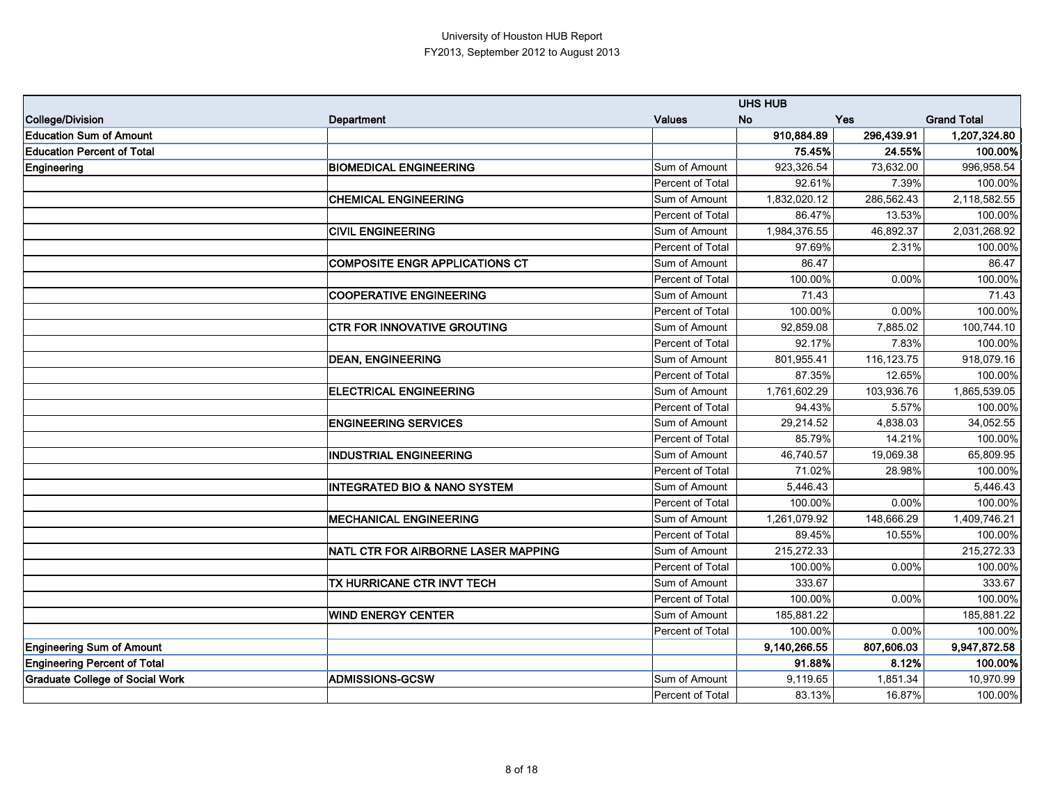|                                        |                                            |                         | <b>UHS HUB</b> |              |                    |
|----------------------------------------|--------------------------------------------|-------------------------|----------------|--------------|--------------------|
| College/Division                       | Department                                 | <b>Values</b>           | <b>No</b>      | Yes          | <b>Grand Total</b> |
| <b>Education Sum of Amount</b>         |                                            |                         | 910,884.89     | 296,439.91   | 1,207,324.80       |
| <b>Education Percent of Total</b>      |                                            |                         | 75.45%         | 24.55%       | 100.00%            |
| Engineering                            | <b>BIOMEDICAL ENGINEERING</b>              | Sum of Amount           | 923,326.54     | 73,632.00    | 996,958.54         |
|                                        |                                            | Percent of Total        | 92.61%         | 7.39%        | 100.00%            |
|                                        | <b>CHEMICAL ENGINEERING</b>                | Sum of Amount           | 1,832,020.12   | 286,562.43   | 2,118,582.55       |
|                                        |                                            | Percent of Total        | 86.47%         | 13.53%       | 100.00%            |
|                                        | <b>CIVIL ENGINEERING</b>                   | Sum of Amount           | 1,984,376.55   | 46,892.37    | 2,031,268.92       |
|                                        |                                            | Percent of Total        | 97.69%         | 2.31%        | 100.00%            |
|                                        | <b>COMPOSITE ENGR APPLICATIONS CT</b>      | Sum of Amount           | 86.47          |              | 86.47              |
|                                        |                                            | <b>Percent of Total</b> | 100.00%        | 0.00%        | 100.00%            |
|                                        | <b>COOPERATIVE ENGINEERING</b>             | Sum of Amount           | 71.43          |              | 71.43              |
|                                        |                                            | Percent of Total        | 100.00%        | 0.00%        | 100.00%            |
|                                        | <b>CTR FOR INNOVATIVE GROUTING</b>         | Sum of Amount           | 92,859.08      | 7,885.02     | 100,744.10         |
|                                        |                                            | Percent of Total        | 92.17%         | 7.83%        | 100.00%            |
|                                        | <b>DEAN, ENGINEERING</b>                   | Sum of Amount           | 801,955.41     | 116, 123. 75 | 918,079.16         |
|                                        |                                            | <b>Percent of Total</b> | 87.35%         | 12.65%       | 100.00%            |
|                                        | <b>ELECTRICAL ENGINEERING</b>              | Sum of Amount           | 1,761,602.29   | 103,936.76   | 1,865,539.05       |
|                                        |                                            | Percent of Total        | 94.43%         | 5.57%        | 100.00%            |
|                                        | <b>ENGINEERING SERVICES</b>                | Sum of Amount           | 29,214.52      | 4,838.03     | 34,052.55          |
|                                        |                                            | <b>Percent of Total</b> | 85.79%         | 14.21%       | 100.00%            |
|                                        | <b>INDUSTRIAL ENGINEERING</b>              | Sum of Amount           | 46,740.57      | 19,069.38    | 65,809.95          |
|                                        |                                            | Percent of Total        | 71.02%         | 28.98%       | 100.00%            |
|                                        | <b>INTEGRATED BIO &amp; NANO SYSTEM</b>    | Sum of Amount           | 5,446.43       |              | 5,446.43           |
|                                        |                                            | Percent of Total        | 100.00%        | 0.00%        | 100.00%            |
|                                        | <b>MECHANICAL ENGINEERING</b>              | Sum of Amount           | 1,261,079.92   | 148,666.29   | 1,409,746.21       |
|                                        |                                            | Percent of Total        | 89.45%         | 10.55%       | 100.00%            |
|                                        | <b>NATL CTR FOR AIRBORNE LASER MAPPING</b> | Sum of Amount           | 215,272.33     |              | 215,272.33         |
|                                        |                                            | Percent of Total        | 100.00%        | 0.00%        | 100.00%            |
|                                        | TX HURRICANE CTR INVT TECH                 | Sum of Amount           | 333.67         |              | 333.67             |
|                                        |                                            | Percent of Total        | 100.00%        | 0.00%        | 100.00%            |
|                                        | <b>WIND ENERGY CENTER</b>                  | Sum of Amount           | 185,881.22     |              | 185,881.22         |
|                                        |                                            | Percent of Total        | 100.00%        | 0.00%        | 100.00%            |
| <b>Engineering Sum of Amount</b>       |                                            |                         | 9,140,266.55   | 807,606.03   | 9,947,872.58       |
| <b>Engineering Percent of Total</b>    |                                            |                         | 91.88%         | 8.12%        | 100.00%            |
| <b>Graduate College of Social Work</b> | <b>ADMISSIONS-GCSW</b>                     | Sum of Amount           | 9,119.65       | 1,851.34     | 10,970.99          |
|                                        |                                            | Percent of Total        | 83.13%         | 16.87%       | 100.00%            |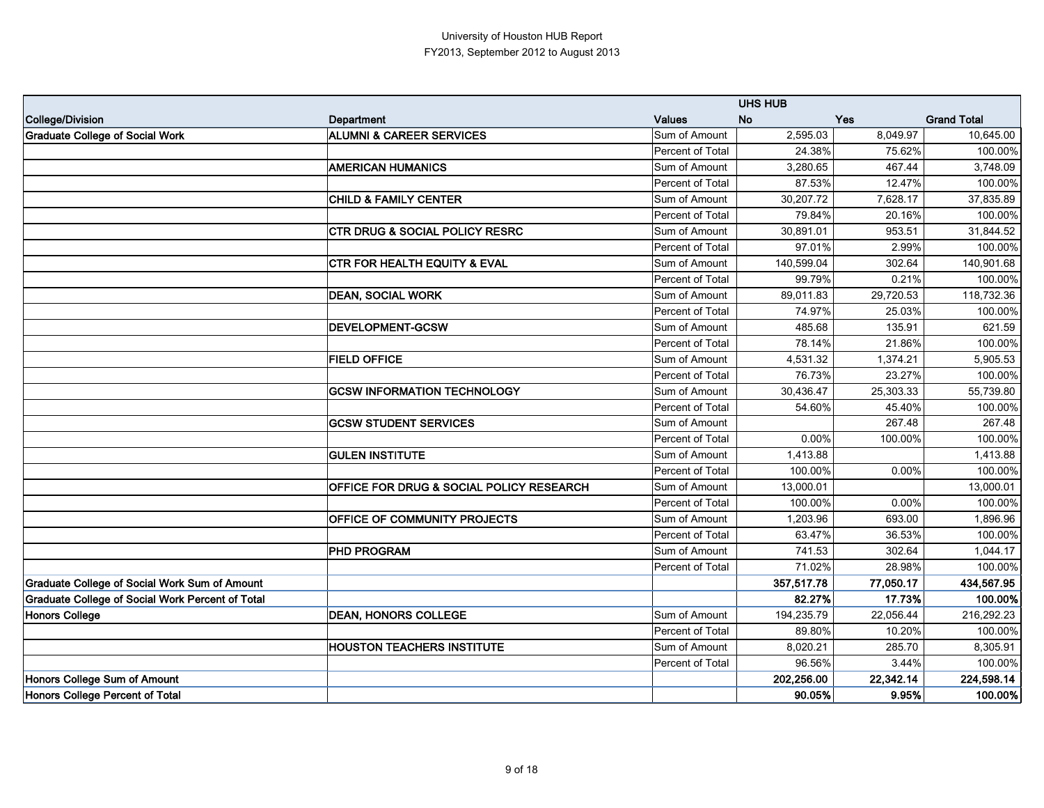|                                                         |                                                     |                  | <b>UHS HUB</b> |           |                    |
|---------------------------------------------------------|-----------------------------------------------------|------------------|----------------|-----------|--------------------|
| College/Division                                        | <b>Department</b>                                   | <b>Values</b>    | <b>No</b>      | Yes       | <b>Grand Total</b> |
| <b>Graduate College of Social Work</b>                  | <b>ALUMNI &amp; CAREER SERVICES</b>                 | Sum of Amount    | 2,595.03       | 8,049.97  | 10,645.00          |
|                                                         |                                                     | Percent of Total | 24.38%         | 75.62%    | 100.00%            |
|                                                         | <b>AMERICAN HUMANICS</b>                            | Sum of Amount    | 3,280.65       | 467.44    | 3,748.09           |
|                                                         |                                                     | Percent of Total | 87.53%         | 12.47%    | 100.00%            |
|                                                         | <b>CHILD &amp; FAMILY CENTER</b>                    | Sum of Amount    | 30,207.72      | 7,628.17  | 37,835.89          |
|                                                         |                                                     | Percent of Total | 79.84%         | 20.16%    | 100.00%            |
|                                                         | <b>CTR DRUG &amp; SOCIAL POLICY RESRC</b>           | Sum of Amount    | 30,891.01      | 953.51    | 31,844.52          |
|                                                         |                                                     | Percent of Total | 97.01%         | 2.99%     | 100.00%            |
|                                                         | <b>CTR FOR HEALTH EQUITY &amp; EVAL</b>             | Sum of Amount    | 140,599.04     | 302.64    | 140,901.68         |
|                                                         |                                                     | Percent of Total | 99.79%         | 0.21%     | 100.00%            |
|                                                         | <b>DEAN, SOCIAL WORK</b>                            | Sum of Amount    | 89,011.83      | 29,720.53 | 118,732.36         |
|                                                         |                                                     | Percent of Total | 74.97%         | 25.03%    | 100.00%            |
|                                                         | <b>DEVELOPMENT-GCSW</b>                             | Sum of Amount    | 485.68         | 135.91    | 621.59             |
|                                                         |                                                     | Percent of Total | 78.14%         | 21.86%    | 100.00%            |
|                                                         | <b>FIELD OFFICE</b>                                 | Sum of Amount    | 4,531.32       | 1,374.21  | 5,905.53           |
|                                                         |                                                     | Percent of Total | 76.73%         | 23.27%    | 100.00%            |
|                                                         | <b>GCSW INFORMATION TECHNOLOGY</b>                  | Sum of Amount    | 30,436.47      | 25,303.33 | 55,739.80          |
|                                                         |                                                     | Percent of Total | 54.60%         | 45.40%    | 100.00%            |
|                                                         | <b>GCSW STUDENT SERVICES</b>                        | Sum of Amount    |                | 267.48    | 267.48             |
|                                                         |                                                     | Percent of Total | 0.00%          | 100.00%   | 100.00%            |
|                                                         | <b>GULEN INSTITUTE</b>                              | Sum of Amount    | 1,413.88       |           | 1,413.88           |
|                                                         |                                                     | Percent of Total | 100.00%        | 0.00%     | 100.00%            |
|                                                         | <b>OFFICE FOR DRUG &amp; SOCIAL POLICY RESEARCH</b> | Sum of Amount    | 13,000.01      |           | 13,000.01          |
|                                                         |                                                     | Percent of Total | 100.00%        | 0.00%     | 100.00%            |
|                                                         | <b>OFFICE OF COMMUNITY PROJECTS</b>                 | Sum of Amount    | 1,203.96       | 693.00    | 1,896.96           |
|                                                         |                                                     | Percent of Total | 63.47%         | 36.53%    | 100.00%            |
|                                                         | <b>PHD PROGRAM</b>                                  | Sum of Amount    | 741.53         | 302.64    | 1,044.17           |
|                                                         |                                                     | Percent of Total | 71.02%         | 28.98%    | 100.00%            |
| <b>Graduate College of Social Work Sum of Amount</b>    |                                                     |                  | 357,517.78     | 77,050.17 | 434,567.95         |
| <b>Graduate College of Social Work Percent of Total</b> |                                                     |                  | 82.27%         | 17.73%    | 100.00%            |
| <b>Honors College</b>                                   | <b>DEAN, HONORS COLLEGE</b>                         | Sum of Amount    | 194,235.79     | 22,056.44 | 216,292.23         |
|                                                         |                                                     | Percent of Total | 89.80%         | 10.20%    | 100.00%            |
|                                                         | <b>HOUSTON TEACHERS INSTITUTE</b>                   | Sum of Amount    | 8,020.21       | 285.70    | 8,305.91           |
|                                                         |                                                     | Percent of Total | 96.56%         | 3.44%     | 100.00%            |
| Honors College Sum of Amount                            |                                                     |                  | 202,256.00     | 22,342.14 | 224,598.14         |
| Honors College Percent of Total                         |                                                     |                  | 90.05%         | 9.95%     | 100.00%            |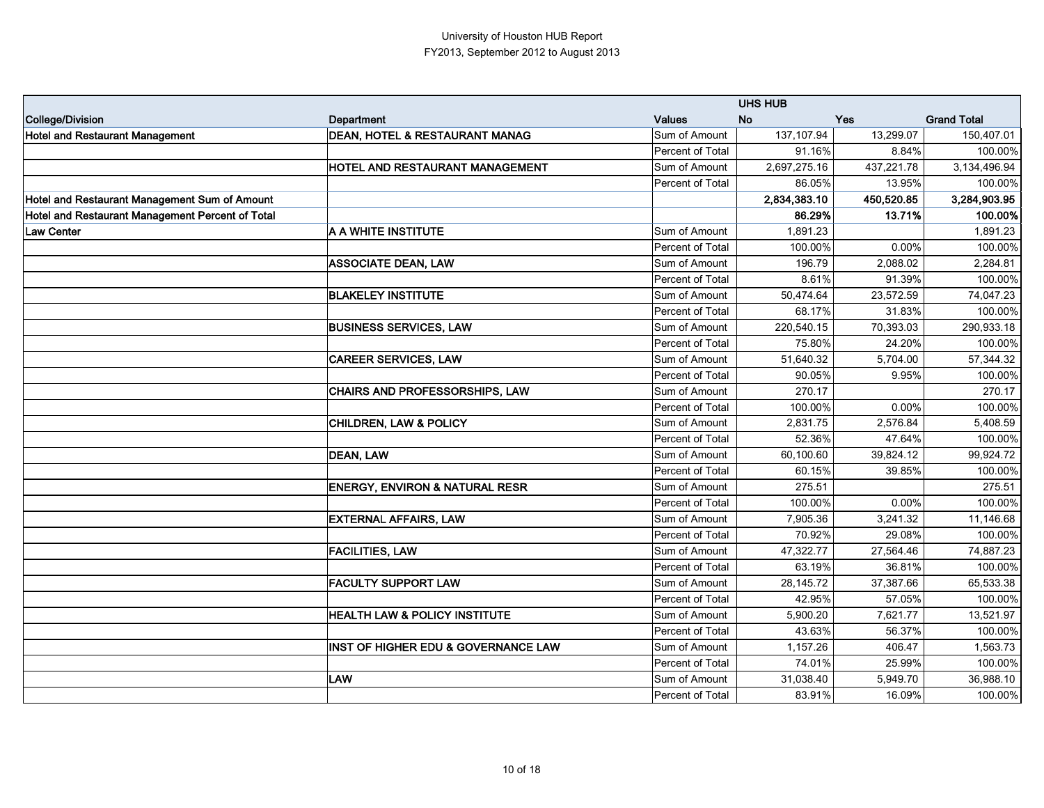|                                                  |                                                |                  | <b>UHS HUB</b> |            |                    |
|--------------------------------------------------|------------------------------------------------|------------------|----------------|------------|--------------------|
| College/Division                                 | <b>Department</b>                              | <b>Values</b>    | <b>No</b>      | <b>Yes</b> | <b>Grand Total</b> |
| <b>Hotel and Restaurant Management</b>           | <b>DEAN, HOTEL &amp; RESTAURANT MANAG</b>      | Sum of Amount    | 137,107.94     | 13,299.07  | 150,407.01         |
|                                                  |                                                | Percent of Total | 91.16%         | 8.84%      | 100.00%            |
|                                                  | HOTEL AND RESTAURANT MANAGEMENT                | Sum of Amount    | 2,697,275.16   | 437,221.78 | 3,134,496.94       |
|                                                  |                                                | Percent of Total | 86.05%         | 13.95%     | 100.00%            |
| Hotel and Restaurant Management Sum of Amount    |                                                |                  | 2,834,383.10   | 450,520.85 | 3,284,903.95       |
| Hotel and Restaurant Management Percent of Total |                                                |                  | 86.29%         | 13.71%     | 100.00%            |
| Law Center                                       | A A WHITE INSTITUTE                            | Sum of Amount    | 1,891.23       |            | 1,891.23           |
|                                                  |                                                | Percent of Total | 100.00%        | 0.00%      | 100.00%            |
|                                                  | <b>ASSOCIATE DEAN, LAW</b>                     | Sum of Amount    | 196.79         | 2,088.02   | 2,284.81           |
|                                                  |                                                | Percent of Total | 8.61%          | 91.39%     | 100.00%            |
|                                                  | <b>BLAKELEY INSTITUTE</b>                      | Sum of Amount    | 50,474.64      | 23,572.59  | 74,047.23          |
|                                                  |                                                | Percent of Total | 68.17%         | 31.83%     | 100.00%            |
|                                                  | <b>BUSINESS SERVICES, LAW</b>                  | Sum of Amount    | 220,540.15     | 70,393.03  | 290,933.18         |
|                                                  |                                                | Percent of Total | 75.80%         | 24.20%     | 100.00%            |
|                                                  | <b>CAREER SERVICES, LAW</b>                    | Sum of Amount    | 51,640.32      | 5,704.00   | 57,344.32          |
|                                                  |                                                | Percent of Total | 90.05%         | 9.95%      | 100.00%            |
|                                                  | <b>CHAIRS AND PROFESSORSHIPS, LAW</b>          | Sum of Amount    | 270.17         |            | 270.17             |
|                                                  |                                                | Percent of Total | 100.00%        | 0.00%      | 100.00%            |
|                                                  | <b>CHILDREN, LAW &amp; POLICY</b>              | Sum of Amount    | 2,831.75       | 2,576.84   | 5,408.59           |
|                                                  |                                                | Percent of Total | 52.36%         | 47.64%     | 100.00%            |
|                                                  | <b>DEAN, LAW</b>                               | Sum of Amount    | 60,100.60      | 39,824.12  | 99,924.72          |
|                                                  |                                                | Percent of Total | 60.15%         | 39.85%     | 100.00%            |
|                                                  | <b>ENERGY, ENVIRON &amp; NATURAL RESR</b>      | Sum of Amount    | 275.51         |            | 275.51             |
|                                                  |                                                | Percent of Total | 100.00%        | 0.00%      | 100.00%            |
|                                                  | <b>EXTERNAL AFFAIRS, LAW</b>                   | Sum of Amount    | 7,905.36       | 3,241.32   | 11,146.68          |
|                                                  |                                                | Percent of Total | 70.92%         | 29.08%     | 100.00%            |
|                                                  | <b>FACILITIES, LAW</b>                         | Sum of Amount    | 47,322.77      | 27,564.46  | 74,887.23          |
|                                                  |                                                | Percent of Total | 63.19%         | 36.81%     | 100.00%            |
|                                                  | <b>FACULTY SUPPORT LAW</b>                     | Sum of Amount    | 28,145.72      | 37,387.66  | 65,533.38          |
|                                                  |                                                | Percent of Total | 42.95%         | 57.05%     | 100.00%            |
|                                                  | <b>HEALTH LAW &amp; POLICY INSTITUTE</b>       | Sum of Amount    | 5,900.20       | 7,621.77   | 13,521.97          |
|                                                  |                                                | Percent of Total | 43.63%         | 56.37%     | 100.00%            |
|                                                  | <b>INST OF HIGHER EDU &amp; GOVERNANCE LAW</b> | Sum of Amount    | 1,157.26       | 406.47     | 1,563.73           |
|                                                  |                                                | Percent of Total | 74.01%         | 25.99%     | 100.00%            |
|                                                  | <b>LAW</b>                                     | Sum of Amount    | 31,038.40      | 5,949.70   | 36,988.10          |
|                                                  |                                                | Percent of Total | 83.91%         | 16.09%     | 100.00%            |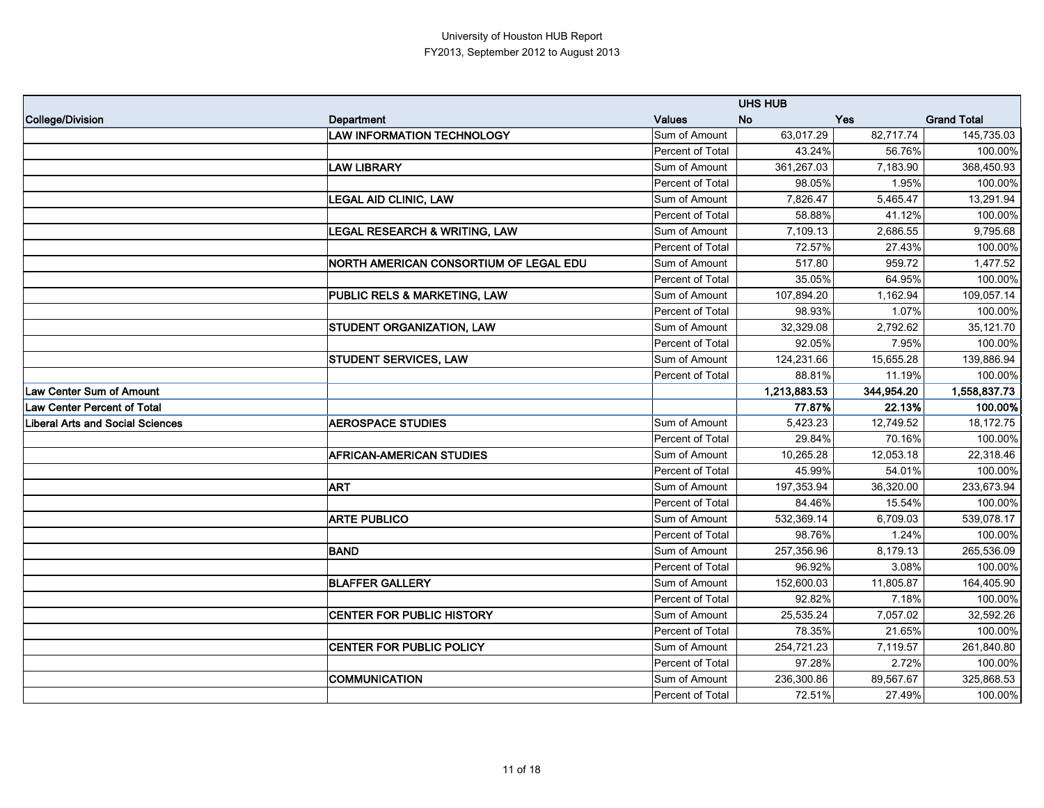|                                         |                                          |                  | <b>UHS HUB</b> |            |                    |
|-----------------------------------------|------------------------------------------|------------------|----------------|------------|--------------------|
| College/Division                        | <b>Department</b>                        | <b>Values</b>    | <b>No</b>      | Yes        | <b>Grand Total</b> |
|                                         | <b>LAW INFORMATION TECHNOLOGY</b>        | Sum of Amount    | 63,017.29      | 82,717.74  | 145,735.03         |
|                                         |                                          | Percent of Total | 43.24%         | 56.76%     | 100.00%            |
|                                         | <b>LAW LIBRARY</b>                       | Sum of Amount    | 361,267.03     | 7,183.90   | 368,450.93         |
|                                         |                                          | Percent of Total | 98.05%         | 1.95%      | 100.00%            |
|                                         | <b>LEGAL AID CLINIC, LAW</b>             | Sum of Amount    | 7,826.47       | 5,465.47   | 13,291.94          |
|                                         |                                          | Percent of Total | 58.88%         | 41.12%     | 100.00%            |
|                                         | <b>LEGAL RESEARCH &amp; WRITING, LAW</b> | Sum of Amount    | 7,109.13       | 2,686.55   | 9,795.68           |
|                                         |                                          | Percent of Total | 72.57%         | 27.43%     | 100.00%            |
|                                         | NORTH AMERICAN CONSORTIUM OF LEGAL EDU   | Sum of Amount    | 517.80         | 959.72     | 1,477.52           |
|                                         |                                          | Percent of Total | 35.05%         | 64.95%     | 100.00%            |
|                                         | PUBLIC RELS & MARKETING, LAW             | Sum of Amount    | 107,894.20     | 1,162.94   | 109,057.14         |
|                                         |                                          | Percent of Total | 98.93%         | 1.07%      | 100.00%            |
|                                         | STUDENT ORGANIZATION, LAW                | Sum of Amount    | 32,329.08      | 2,792.62   | 35,121.70          |
|                                         |                                          | Percent of Total | 92.05%         | 7.95%      | 100.00%            |
|                                         | STUDENT SERVICES, LAW                    | Sum of Amount    | 124,231.66     | 15,655.28  | 139,886.94         |
|                                         |                                          | Percent of Total | 88.81%         | 11.19%     | 100.00%            |
| Law Center Sum of Amount                |                                          |                  | 1,213,883.53   | 344,954.20 | 1,558,837.73       |
| <b>Law Center Percent of Total</b>      |                                          |                  | 77.87%         | 22.13%     | 100.00%            |
| <b>Liberal Arts and Social Sciences</b> | <b>AEROSPACE STUDIES</b>                 | Sum of Amount    | 5,423.23       | 12,749.52  | 18,172.75          |
|                                         |                                          | Percent of Total | 29.84%         | 70.16%     | 100.00%            |
|                                         | <b>AFRICAN-AMERICAN STUDIES</b>          | Sum of Amount    | 10,265.28      | 12,053.18  | 22,318.46          |
|                                         |                                          | Percent of Total | 45.99%         | 54.01%     | 100.00%            |
|                                         | <b>ART</b>                               | Sum of Amount    | 197,353.94     | 36,320.00  | 233,673.94         |
|                                         |                                          | Percent of Total | 84.46%         | 15.54%     | 100.00%            |
|                                         | <b>ARTE PUBLICO</b>                      | Sum of Amount    | 532,369.14     | 6,709.03   | 539,078.17         |
|                                         |                                          | Percent of Total | 98.76%         | 1.24%      | 100.00%            |
|                                         | <b>BAND</b>                              | Sum of Amount    | 257,356.96     | 8,179.13   | 265,536.09         |
|                                         |                                          | Percent of Total | 96.92%         | 3.08%      | 100.00%            |
|                                         | <b>BLAFFER GALLERY</b>                   | Sum of Amount    | 152,600.03     | 11,805.87  | 164,405.90         |
|                                         |                                          | Percent of Total | 92.82%         | 7.18%      | 100.00%            |
|                                         | <b>CENTER FOR PUBLIC HISTORY</b>         | Sum of Amount    | 25,535.24      | 7,057.02   | 32,592.26          |
|                                         |                                          | Percent of Total | 78.35%         | 21.65%     | 100.00%            |
|                                         | <b>CENTER FOR PUBLIC POLICY</b>          | Sum of Amount    | 254,721.23     | 7,119.57   | 261,840.80         |
|                                         |                                          | Percent of Total | 97.28%         | 2.72%      | 100.00%            |
|                                         | <b>COMMUNICATION</b>                     | Sum of Amount    | 236,300.86     | 89,567.67  | 325,868.53         |
|                                         |                                          | Percent of Total | 72.51%         | 27.49%     | 100.00%            |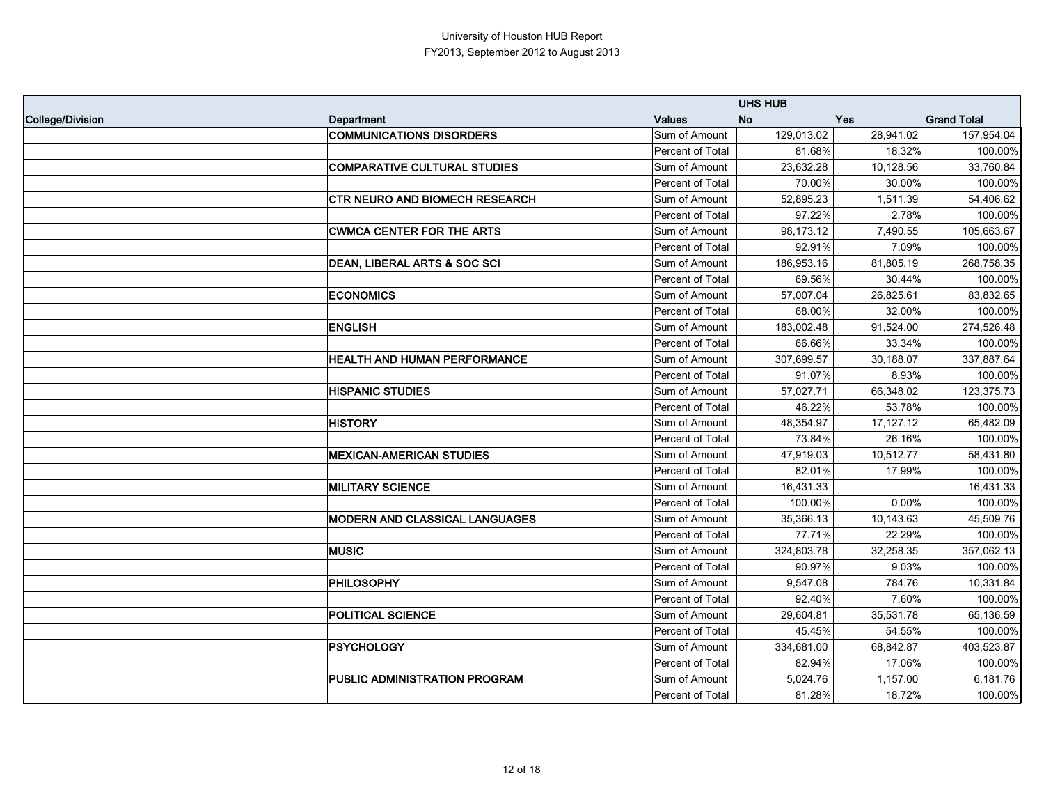|                  |                                       |                  | <b>UHS HUB</b> |           |                    |
|------------------|---------------------------------------|------------------|----------------|-----------|--------------------|
| College/Division | Department                            | <b>Values</b>    | <b>No</b>      | Yes       | <b>Grand Total</b> |
|                  | <b>COMMUNICATIONS DISORDERS</b>       | Sum of Amount    | 129,013.02     | 28,941.02 | 157,954.04         |
|                  |                                       | Percent of Total | 81.68%         | 18.32%    | 100.00%            |
|                  | <b>COMPARATIVE CULTURAL STUDIES</b>   | Sum of Amount    | 23,632.28      | 10,128.56 | 33,760.84          |
|                  |                                       | Percent of Total | 70.00%         | 30.00%    | 100.00%            |
|                  | <b>CTR NEURO AND BIOMECH RESEARCH</b> | Sum of Amount    | 52,895.23      | 1,511.39  | 54,406.62          |
|                  |                                       | Percent of Total | 97.22%         | 2.78%     | 100.00%            |
|                  | <b>CWMCA CENTER FOR THE ARTS</b>      | Sum of Amount    | 98,173.12      | 7,490.55  | 105,663.67         |
|                  |                                       | Percent of Total | 92.91%         | 7.09%     | 100.00%            |
|                  | DEAN, LIBERAL ARTS & SOC SCI          | Sum of Amount    | 186,953.16     | 81,805.19 | 268,758.35         |
|                  |                                       | Percent of Total | 69.56%         | 30.44%    | 100.00%            |
|                  | <b>ECONOMICS</b>                      | Sum of Amount    | 57,007.04      | 26,825.61 | 83,832.65          |
|                  |                                       | Percent of Total | 68.00%         | 32.00%    | 100.00%            |
|                  | <b>ENGLISH</b>                        | Sum of Amount    | 183,002.48     | 91,524.00 | 274,526.48         |
|                  |                                       | Percent of Total | 66.66%         | 33.34%    | 100.00%            |
|                  | HEALTH AND HUMAN PERFORMANCE          | Sum of Amount    | 307,699.57     | 30,188.07 | 337,887.64         |
|                  |                                       | Percent of Total | 91.07%         | 8.93%     | 100.00%            |
|                  | <b>HISPANIC STUDIES</b>               | Sum of Amount    | 57,027.71      | 66,348.02 | 123,375.73         |
|                  |                                       | Percent of Total | 46.22%         | 53.78%    | 100.00%            |
|                  | <b>HISTORY</b>                        | Sum of Amount    | 48,354.97      | 17,127.12 | 65,482.09          |
|                  |                                       | Percent of Total | 73.84%         | 26.16%    | 100.00%            |
|                  | <b>MEXICAN-AMERICAN STUDIES</b>       | Sum of Amount    | 47,919.03      | 10,512.77 | 58,431.80          |
|                  |                                       | Percent of Total | 82.01%         | 17.99%    | 100.00%            |
|                  | <b>MILITARY SCIENCE</b>               | Sum of Amount    | 16,431.33      |           | 16,431.33          |
|                  |                                       | Percent of Total | 100.00%        | 0.00%     | 100.00%            |
|                  | MODERN AND CLASSICAL LANGUAGES        | Sum of Amount    | 35,366.13      | 10,143.63 | 45,509.76          |
|                  |                                       | Percent of Total | 77.71%         | 22.29%    | 100.00%            |
|                  | <b>MUSIC</b>                          | Sum of Amount    | 324,803.78     | 32,258.35 | 357,062.13         |
|                  |                                       | Percent of Total | 90.97%         | 9.03%     | 100.00%            |
|                  | <b>PHILOSOPHY</b>                     | Sum of Amount    | 9,547.08       | 784.76    | 10,331.84          |
|                  |                                       | Percent of Total | 92.40%         | 7.60%     | 100.00%            |
|                  | <b>POLITICAL SCIENCE</b>              | Sum of Amount    | 29,604.81      | 35,531.78 | 65,136.59          |
|                  |                                       | Percent of Total | 45.45%         | 54.55%    | 100.00%            |
|                  | <b>PSYCHOLOGY</b>                     | Sum of Amount    | 334,681.00     | 68,842.87 | 403,523.87         |
|                  |                                       | Percent of Total | 82.94%         | 17.06%    | 100.00%            |
|                  | PUBLIC ADMINISTRATION PROGRAM         | Sum of Amount    | 5,024.76       | 1,157.00  | 6,181.76           |
|                  |                                       | Percent of Total | 81.28%         | 18.72%    | 100.00%            |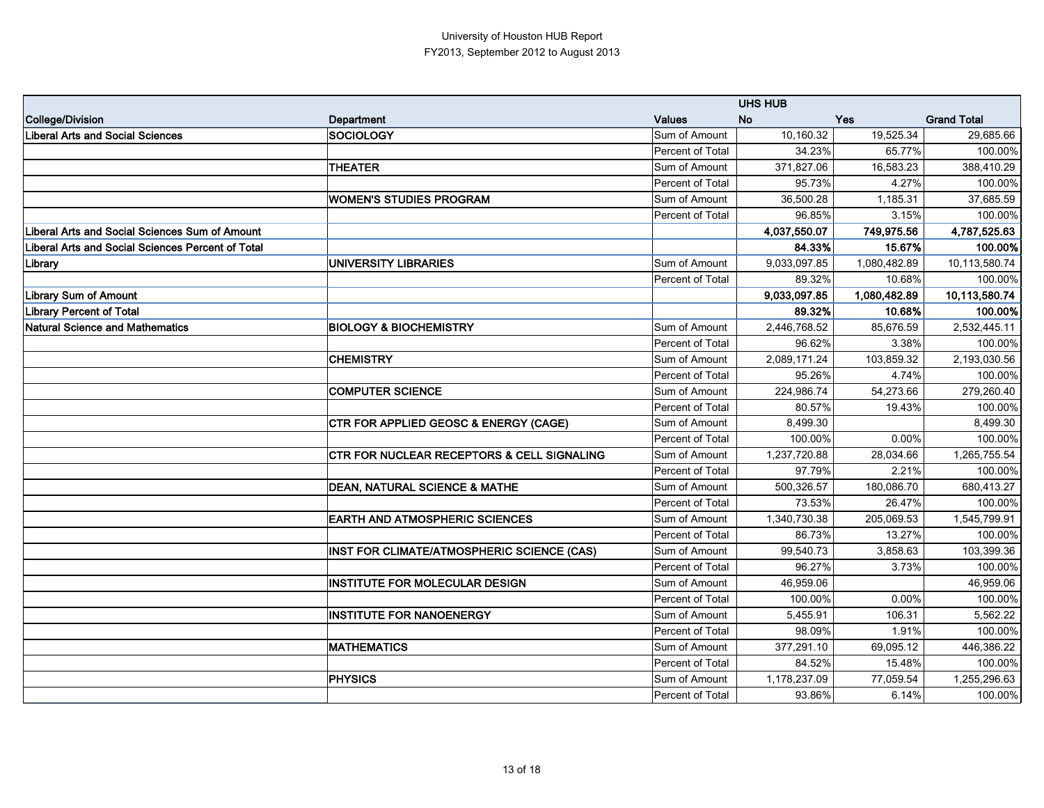|                                                       |                                                  | <b>UHS HUB</b>          |              |              |                    |
|-------------------------------------------------------|--------------------------------------------------|-------------------------|--------------|--------------|--------------------|
| College/Division                                      | <b>Department</b>                                | <b>Values</b>           | <b>No</b>    | Yes          | <b>Grand Total</b> |
| <b>Liberal Arts and Social Sciences</b>               | <b>SOCIOLOGY</b>                                 | Sum of Amount           | 10,160.32    | 19,525.34    | 29,685.66          |
|                                                       |                                                  | Percent of Total        | 34.23%       | 65.77%       | 100.00%            |
|                                                       | <b>THEATER</b>                                   | Sum of Amount           | 371,827.06   | 16,583.23    | 388,410.29         |
|                                                       |                                                  | Percent of Total        | 95.73%       | 4.27%        | 100.00%            |
|                                                       | <b>WOMEN'S STUDIES PROGRAM</b>                   | Sum of Amount           | 36,500.28    | 1,185.31     | 37,685.59          |
|                                                       |                                                  | Percent of Total        | 96.85%       | 3.15%        | 100.00%            |
| <b>Liberal Arts and Social Sciences Sum of Amount</b> |                                                  |                         | 4,037,550.07 | 749,975.56   | 4,787,525.63       |
| Liberal Arts and Social Sciences Percent of Total     |                                                  |                         | 84.33%       | 15.67%       | 100.00%            |
| Library                                               | <b>UNIVERSITY LIBRARIES</b>                      | Sum of Amount           | 9,033,097.85 | 1,080,482.89 | 10,113,580.74      |
|                                                       |                                                  | Percent of Total        | 89.32%       | 10.68%       | 100.00%            |
| <b>Library Sum of Amount</b>                          |                                                  |                         | 9,033,097.85 | 1,080,482.89 | 10,113,580.74      |
| <b>Library Percent of Total</b>                       |                                                  |                         | 89.32%       | 10.68%       | 100.00%            |
| <b>Natural Science and Mathematics</b>                | <b>BIOLOGY &amp; BIOCHEMISTRY</b>                | Sum of Amount           | 2,446,768.52 | 85,676.59    | 2,532,445.11       |
|                                                       |                                                  | Percent of Total        | 96.62%       | 3.38%        | 100.00%            |
|                                                       | <b>CHEMISTRY</b>                                 | Sum of Amount           | 2,089,171.24 | 103,859.32   | 2,193,030.56       |
|                                                       |                                                  | Percent of Total        | 95.26%       | 4.74%        | 100.00%            |
|                                                       | <b>COMPUTER SCIENCE</b>                          | Sum of Amount           | 224,986.74   | 54,273.66    | 279,260.40         |
|                                                       |                                                  | Percent of Total        | 80.57%       | 19.43%       | 100.00%            |
|                                                       | <b>CTR FOR APPLIED GEOSC &amp; ENERGY (CAGE)</b> | Sum of Amount           | 8,499.30     |              | 8,499.30           |
|                                                       |                                                  | Percent of Total        | 100.00%      | 0.00%        | 100.00%            |
|                                                       | CTR FOR NUCLEAR RECEPTORS & CELL SIGNALING       | Sum of Amount           | 1,237,720.88 | 28,034.66    | 1,265,755.54       |
|                                                       |                                                  | Percent of Total        | 97.79%       | 2.21%        | 100.00%            |
|                                                       | <b>DEAN, NATURAL SCIENCE &amp; MATHE</b>         | Sum of Amount           | 500,326.57   | 180,086.70   | 680,413.27         |
|                                                       |                                                  | Percent of Total        | 73.53%       | 26.47%       | 100.00%            |
|                                                       | <b>EARTH AND ATMOSPHERIC SCIENCES</b>            | Sum of Amount           | 1,340,730.38 | 205,069.53   | 1,545,799.91       |
|                                                       |                                                  | <b>Percent of Total</b> | 86.73%       | 13.27%       | 100.00%            |
|                                                       | INST FOR CLIMATE/ATMOSPHERIC SCIENCE (CAS)       | Sum of Amount           | 99,540.73    | 3,858.63     | 103,399.36         |
|                                                       |                                                  | Percent of Total        | 96.27%       | 3.73%        | 100.00%            |
|                                                       | <b>INSTITUTE FOR MOLECULAR DESIGN</b>            | Sum of Amount           | 46,959.06    |              | 46,959.06          |
|                                                       |                                                  | Percent of Total        | 100.00%      | 0.00%        | 100.00%            |
|                                                       | <b>INSTITUTE FOR NANOENERGY</b>                  | Sum of Amount           | 5,455.91     | 106.31       | 5,562.22           |
|                                                       |                                                  | Percent of Total        | 98.09%       | 1.91%        | 100.00%            |
|                                                       | <b>MATHEMATICS</b>                               | Sum of Amount           | 377,291.10   | 69,095.12    | 446,386.22         |
|                                                       |                                                  | Percent of Total        | 84.52%       | 15.48%       | 100.00%            |
|                                                       | <b>PHYSICS</b>                                   | Sum of Amount           | 1,178,237.09 | 77,059.54    | 1,255,296.63       |
|                                                       |                                                  | Percent of Total        | 93.86%       | 6.14%        | 100.00%            |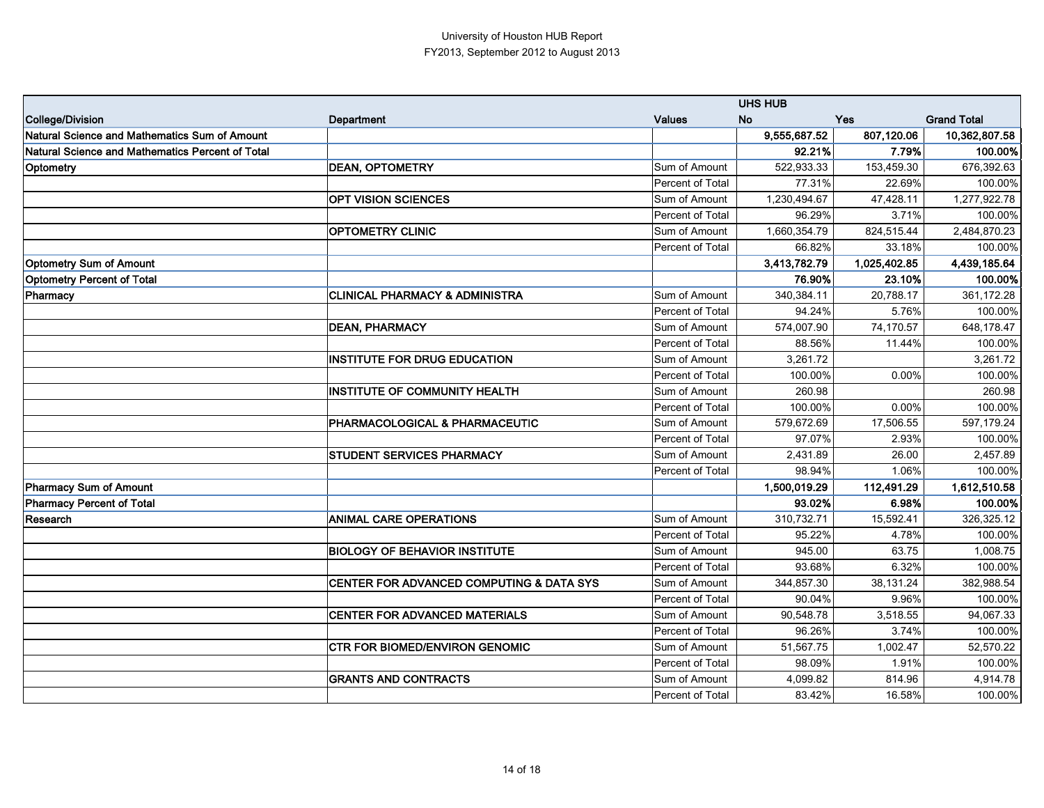|                                                  |                                           |                         | <b>UHS HUB</b> |              |                    |
|--------------------------------------------------|-------------------------------------------|-------------------------|----------------|--------------|--------------------|
| College/Division                                 | <b>Department</b>                         | <b>Values</b>           | <b>No</b>      | Yes          | <b>Grand Total</b> |
| Natural Science and Mathematics Sum of Amount    |                                           |                         | 9,555,687.52   | 807,120.06   | 10,362,807.58      |
| Natural Science and Mathematics Percent of Total |                                           |                         | 92.21%         | 7.79%        | 100.00%            |
| Optometry                                        | <b>DEAN, OPTOMETRY</b>                    | Sum of Amount           | 522,933.33     | 153,459.30   | 676,392.63         |
|                                                  |                                           | Percent of Total        | 77.31%         | 22.69%       | 100.00%            |
|                                                  | <b>OPT VISION SCIENCES</b>                | Sum of Amount           | 1,230,494.67   | 47,428.11    | 1,277,922.78       |
|                                                  |                                           | Percent of Total        | 96.29%         | 3.71%        | 100.00%            |
|                                                  | <b>OPTOMETRY CLINIC</b>                   | Sum of Amount           | 1,660,354.79   | 824,515.44   | 2,484,870.23       |
|                                                  |                                           | <b>Percent of Total</b> | 66.82%         | 33.18%       | 100.00%            |
| <b>Optometry Sum of Amount</b>                   |                                           |                         | 3,413,782.79   | 1,025,402.85 | 4,439,185.64       |
| <b>Optometry Percent of Total</b>                |                                           |                         | 76.90%         | 23.10%       | 100.00%            |
| Pharmacy                                         | <b>CLINICAL PHARMACY &amp; ADMINISTRA</b> | Sum of Amount           | 340,384.11     | 20,788.17    | 361,172.28         |
|                                                  |                                           | Percent of Total        | 94.24%         | 5.76%        | 100.00%            |
|                                                  | <b>DEAN, PHARMACY</b>                     | Sum of Amount           | 574,007.90     | 74,170.57    | 648,178.47         |
|                                                  |                                           | Percent of Total        | 88.56%         | 11.44%       | 100.00%            |
|                                                  | <b>INSTITUTE FOR DRUG EDUCATION</b>       | Sum of Amount           | 3,261.72       |              | 3,261.72           |
|                                                  |                                           | Percent of Total        | 100.00%        | 0.00%        | 100.00%            |
|                                                  | <b>INSTITUTE OF COMMUNITY HEALTH</b>      | Sum of Amount           | 260.98         |              | 260.98             |
|                                                  |                                           | Percent of Total        | 100.00%        | 0.00%        | 100.00%            |
|                                                  | PHARMACOLOGICAL & PHARMACEUTIC            | Sum of Amount           | 579,672.69     | 17,506.55    | 597,179.24         |
|                                                  |                                           | Percent of Total        | 97.07%         | 2.93%        | 100.00%            |
|                                                  | <b>STUDENT SERVICES PHARMACY</b>          | Sum of Amount           | 2,431.89       | 26.00        | 2,457.89           |
|                                                  |                                           | Percent of Total        | 98.94%         | 1.06%        | 100.00%            |
| Pharmacy Sum of Amount                           |                                           |                         | 1,500,019.29   | 112,491.29   | 1,612,510.58       |
| Pharmacy Percent of Total                        |                                           |                         | 93.02%         | 6.98%        | 100.00%            |
| Research                                         | <b>ANIMAL CARE OPERATIONS</b>             | Sum of Amount           | 310,732.71     | 15,592.41    | 326,325.12         |
|                                                  |                                           | <b>Percent of Total</b> | 95.22%         | 4.78%        | 100.00%            |
|                                                  | <b>BIOLOGY OF BEHAVIOR INSTITUTE</b>      | Sum of Amount           | 945.00         | 63.75        | 1,008.75           |
|                                                  |                                           | Percent of Total        | 93.68%         | 6.32%        | 100.00%            |
|                                                  | CENTER FOR ADVANCED COMPUTING & DATA SYS  | Sum of Amount           | 344,857.30     | 38,131.24    | 382,988.54         |
|                                                  |                                           | Percent of Total        | 90.04%         | 9.96%        | 100.00%            |
|                                                  | <b>CENTER FOR ADVANCED MATERIALS</b>      | Sum of Amount           | 90,548.78      | 3,518.55     | 94,067.33          |
|                                                  |                                           | Percent of Total        | 96.26%         | 3.74%        | 100.00%            |
|                                                  | <b>CTR FOR BIOMED/ENVIRON GENOMIC</b>     | Sum of Amount           | 51,567.75      | 1,002.47     | 52,570.22          |
|                                                  |                                           | Percent of Total        | 98.09%         | 1.91%        | 100.00%            |
|                                                  | <b>GRANTS AND CONTRACTS</b>               | Sum of Amount           | 4,099.82       | 814.96       | 4,914.78           |
|                                                  |                                           | Percent of Total        | 83.42%         | 16.58%       | 100.00%            |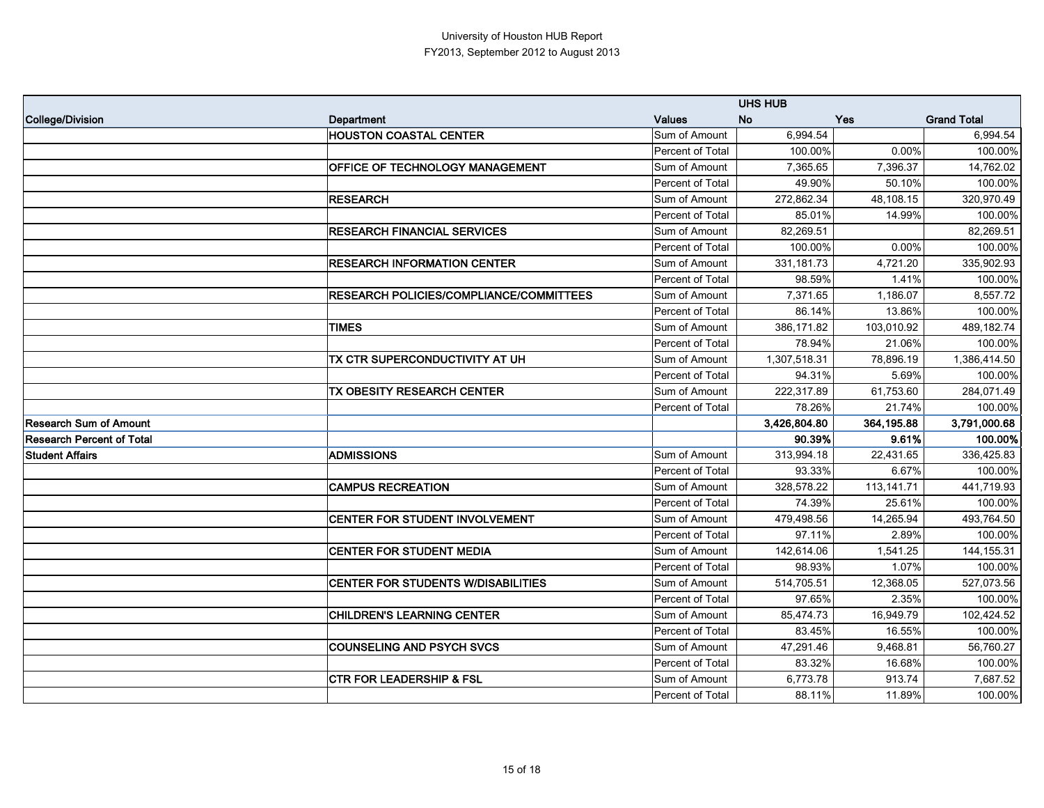|                                  |                                                |                  | <b>UHS HUB</b> |            |                    |
|----------------------------------|------------------------------------------------|------------------|----------------|------------|--------------------|
| College/Division                 | <b>Department</b>                              | <b>Values</b>    | <b>No</b>      | <b>Yes</b> | <b>Grand Total</b> |
|                                  | <b>HOUSTON COASTAL CENTER</b>                  | Sum of Amount    | 6,994.54       |            | 6,994.54           |
|                                  |                                                | Percent of Total | 100.00%        | 0.00%      | 100.00%            |
|                                  | OFFICE OF TECHNOLOGY MANAGEMENT                | Sum of Amount    | 7,365.65       | 7,396.37   | 14,762.02          |
|                                  |                                                | Percent of Total | 49.90%         | 50.10%     | 100.00%            |
|                                  | <b>RESEARCH</b>                                | Sum of Amount    | 272,862.34     | 48,108.15  | 320,970.49         |
|                                  |                                                | Percent of Total | 85.01%         | 14.99%     | 100.00%            |
|                                  | <b>RESEARCH FINANCIAL SERVICES</b>             | Sum of Amount    | 82,269.51      |            | 82,269.51          |
|                                  |                                                | Percent of Total | 100.00%        | 0.00%      | 100.00%            |
|                                  | <b>RESEARCH INFORMATION CENTER</b>             | Sum of Amount    | 331, 181. 73   | 4,721.20   | 335,902.93         |
|                                  |                                                | Percent of Total | 98.59%         | 1.41%      | 100.00%            |
|                                  | <b>RESEARCH POLICIES/COMPLIANCE/COMMITTEES</b> | Sum of Amount    | 7,371.65       | 1,186.07   | 8,557.72           |
|                                  |                                                | Percent of Total | 86.14%         | 13.86%     | 100.00%            |
|                                  | <b>TIMES</b>                                   | Sum of Amount    | 386,171.82     | 103,010.92 | 489,182.74         |
|                                  |                                                | Percent of Total | 78.94%         | 21.06%     | 100.00%            |
|                                  | TX CTR SUPERCONDUCTIVITY AT UH                 | Sum of Amount    | 1,307,518.31   | 78,896.19  | 1,386,414.50       |
|                                  |                                                | Percent of Total | 94.31%         | 5.69%      | 100.00%            |
|                                  | TX OBESITY RESEARCH CENTER                     | Sum of Amount    | 222,317.89     | 61,753.60  | 284,071.49         |
|                                  |                                                | Percent of Total | 78.26%         | 21.74%     | 100.00%            |
| <b>Research Sum of Amount</b>    |                                                |                  | 3,426,804.80   | 364,195.88 | 3,791,000.68       |
| <b>Research Percent of Total</b> |                                                |                  | 90.39%         | 9.61%      | 100.00%            |
| <b>Student Affairs</b>           | <b>ADMISSIONS</b>                              | Sum of Amount    | 313,994.18     | 22,431.65  | 336,425.83         |
|                                  |                                                | Percent of Total | 93.33%         | 6.67%      | 100.00%            |
|                                  | <b>CAMPUS RECREATION</b>                       | Sum of Amount    | 328,578.22     | 113,141.71 | 441,719.93         |
|                                  |                                                | Percent of Total | 74.39%         | 25.61%     | 100.00%            |
|                                  | CENTER FOR STUDENT INVOLVEMENT                 | Sum of Amount    | 479,498.56     | 14,265.94  | 493,764.50         |
|                                  |                                                | Percent of Total | 97.11%         | 2.89%      | 100.00%            |
|                                  | <b>CENTER FOR STUDENT MEDIA</b>                | Sum of Amount    | 142,614.06     | 1,541.25   | 144, 155. 31       |
|                                  |                                                | Percent of Total | 98.93%         | 1.07%      | 100.00%            |
|                                  | <b>CENTER FOR STUDENTS W/DISABILITIES</b>      | Sum of Amount    | 514,705.51     | 12,368.05  | 527,073.56         |
|                                  |                                                | Percent of Total | 97.65%         | 2.35%      | 100.00%            |
|                                  | <b>CHILDREN'S LEARNING CENTER</b>              | Sum of Amount    | 85,474.73      | 16,949.79  | 102,424.52         |
|                                  |                                                | Percent of Total | 83.45%         | 16.55%     | 100.00%            |
|                                  | <b>COUNSELING AND PSYCH SVCS</b>               | Sum of Amount    | 47,291.46      | 9,468.81   | 56,760.27          |
|                                  |                                                | Percent of Total | 83.32%         | 16.68%     | 100.00%            |
|                                  | <b>CTR FOR LEADERSHIP &amp; FSL</b>            | Sum of Amount    | 6,773.78       | 913.74     | 7,687.52           |
|                                  |                                                | Percent of Total | 88.11%         | 11.89%     | 100.00%            |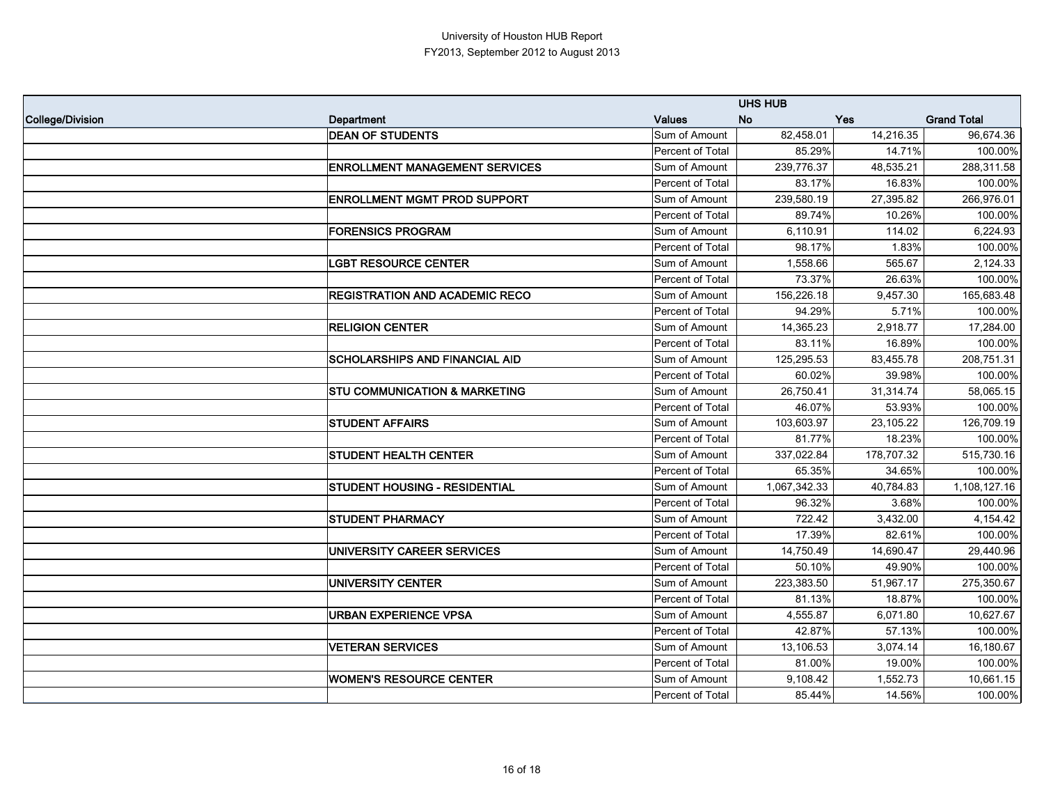|                  |                                          |                  | <b>UHS HUB</b> |            |                    |
|------------------|------------------------------------------|------------------|----------------|------------|--------------------|
| College/Division | Department                               | <b>Values</b>    | <b>No</b>      | <b>Yes</b> | <b>Grand Total</b> |
|                  | <b>DEAN OF STUDENTS</b>                  | Sum of Amount    | 82,458.01      | 14,216.35  | 96,674.36          |
|                  |                                          | Percent of Total | 85.29%         | 14.71%     | 100.00%            |
|                  | <b>ENROLLMENT MANAGEMENT SERVICES</b>    | Sum of Amount    | 239,776.37     | 48,535.21  | 288,311.58         |
|                  |                                          | Percent of Total | 83.17%         | 16.83%     | 100.00%            |
|                  | <b>ENROLLMENT MGMT PROD SUPPORT</b>      | Sum of Amount    | 239,580.19     | 27,395.82  | 266,976.01         |
|                  |                                          | Percent of Total | 89.74%         | 10.26%     | 100.00%            |
|                  | <b>FORENSICS PROGRAM</b>                 | Sum of Amount    | 6,110.91       | 114.02     | 6,224.93           |
|                  |                                          | Percent of Total | 98.17%         | 1.83%      | 100.00%            |
|                  | <b>LGBT RESOURCE CENTER</b>              | Sum of Amount    | 1,558.66       | 565.67     | 2,124.33           |
|                  |                                          | Percent of Total | 73.37%         | 26.63%     | 100.00%            |
|                  | <b>REGISTRATION AND ACADEMIC RECO</b>    | Sum of Amount    | 156,226.18     | 9,457.30   | 165,683.48         |
|                  |                                          | Percent of Total | 94.29%         | 5.71%      | 100.00%            |
|                  | <b>RELIGION CENTER</b>                   | Sum of Amount    | 14,365.23      | 2,918.77   | 17,284.00          |
|                  |                                          | Percent of Total | 83.11%         | 16.89%     | 100.00%            |
|                  | <b>SCHOLARSHIPS AND FINANCIAL AID</b>    | Sum of Amount    | 125,295.53     | 83,455.78  | 208,751.31         |
|                  |                                          | Percent of Total | 60.02%         | 39.98%     | 100.00%            |
|                  | <b>STU COMMUNICATION &amp; MARKETING</b> | Sum of Amount    | 26,750.41      | 31,314.74  | 58,065.15          |
|                  |                                          | Percent of Total | 46.07%         | 53.93%     | 100.00%            |
|                  | <b>STUDENT AFFAIRS</b>                   | Sum of Amount    | 103,603.97     | 23,105.22  | 126,709.19         |
|                  |                                          | Percent of Total | 81.77%         | 18.23%     | 100.00%            |
|                  | <b>STUDENT HEALTH CENTER</b>             | Sum of Amount    | 337,022.84     | 178,707.32 | 515,730.16         |
|                  |                                          | Percent of Total | 65.35%         | 34.65%     | 100.00%            |
|                  | STUDENT HOUSING - RESIDENTIAL            | Sum of Amount    | 1,067,342.33   | 40,784.83  | 1,108,127.16       |
|                  |                                          | Percent of Total | 96.32%         | 3.68%      | 100.00%            |
|                  | <b>STUDENT PHARMACY</b>                  | Sum of Amount    | 722.42         | 3,432.00   | 4,154.42           |
|                  |                                          | Percent of Total | 17.39%         | 82.61%     | 100.00%            |
|                  | UNIVERSITY CAREER SERVICES               | Sum of Amount    | 14,750.49      | 14,690.47  | 29,440.96          |
|                  |                                          | Percent of Total | 50.10%         | 49.90%     | 100.00%            |
|                  | <b>UNIVERSITY CENTER</b>                 | Sum of Amount    | 223,383.50     | 51,967.17  | 275,350.67         |
|                  |                                          | Percent of Total | 81.13%         | 18.87%     | 100.00%            |
|                  | <b>URBAN EXPERIENCE VPSA</b>             | Sum of Amount    | 4,555.87       | 6,071.80   | 10,627.67          |
|                  |                                          | Percent of Total | 42.87%         | 57.13%     | 100.00%            |
|                  | <b>VETERAN SERVICES</b>                  | Sum of Amount    | 13,106.53      | 3,074.14   | 16,180.67          |
|                  |                                          | Percent of Total | 81.00%         | 19.00%     | 100.00%            |
|                  | <b>WOMEN'S RESOURCE CENTER</b>           | Sum of Amount    | 9,108.42       | 1,552.73   | 10,661.15          |
|                  |                                          | Percent of Total | 85.44%         | 14.56%     | 100.00%            |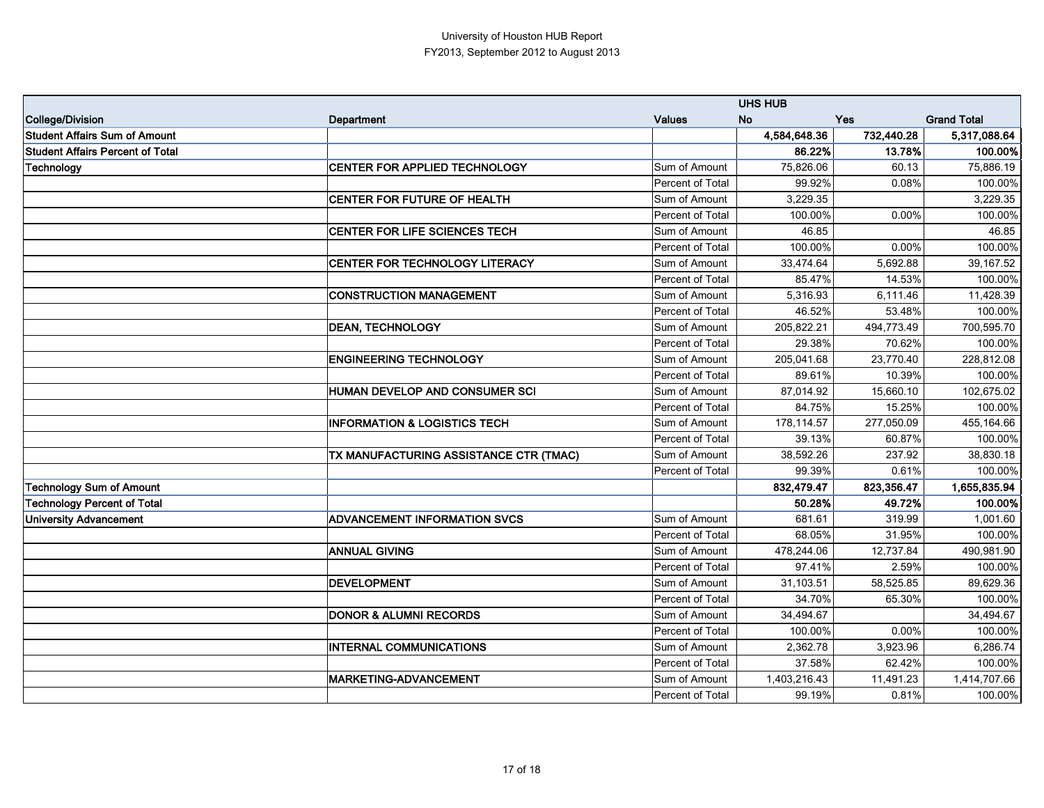|                                      |                                         |                         | <b>UHS HUB</b> |            |                    |
|--------------------------------------|-----------------------------------------|-------------------------|----------------|------------|--------------------|
| College/Division                     | Department                              | <b>Values</b>           | <b>No</b>      | <b>Yes</b> | <b>Grand Total</b> |
| <b>Student Affairs Sum of Amount</b> |                                         |                         | 4,584,648.36   | 732,440.28 | 5,317,088.64       |
| Student Affairs Percent of Total     |                                         |                         | 86.22%         | 13.78%     | 100.00%            |
| Technology                           | <b>CENTER FOR APPLIED TECHNOLOGY</b>    | Sum of Amount           | 75,826.06      | 60.13      | 75,886.19          |
|                                      |                                         | Percent of Total        | 99.92%         | 0.08%      | 100.00%            |
|                                      | <b>CENTER FOR FUTURE OF HEALTH</b>      | Sum of Amount           | 3,229.35       |            | 3,229.35           |
|                                      |                                         | Percent of Total        | 100.00%        | 0.00%      | 100.00%            |
|                                      | CENTER FOR LIFE SCIENCES TECH           | Sum of Amount           | 46.85          |            | 46.85              |
|                                      |                                         | Percent of Total        | 100.00%        | 0.00%      | 100.00%            |
|                                      | <b>CENTER FOR TECHNOLOGY LITERACY</b>   | Sum of Amount           | 33,474.64      | 5,692.88   | 39,167.52          |
|                                      |                                         | Percent of Total        | 85.47%         | 14.53%     | 100.00%            |
|                                      | <b>CONSTRUCTION MANAGEMENT</b>          | Sum of Amount           | 5,316.93       | 6,111.46   | 11,428.39          |
|                                      |                                         | Percent of Total        | 46.52%         | 53.48%     | 100.00%            |
|                                      | <b>DEAN, TECHNOLOGY</b>                 | Sum of Amount           | 205,822.21     | 494,773.49 | 700,595.70         |
|                                      |                                         | Percent of Total        | 29.38%         | 70.62%     | 100.00%            |
|                                      | <b>ENGINEERING TECHNOLOGY</b>           | Sum of Amount           | 205,041.68     | 23,770.40  | 228,812.08         |
|                                      |                                         | <b>Percent of Total</b> | 89.61%         | 10.39%     | 100.00%            |
|                                      | <b>HUMAN DEVELOP AND CONSUMER SCI</b>   | Sum of Amount           | 87,014.92      | 15,660.10  | 102,675.02         |
|                                      |                                         | Percent of Total        | 84.75%         | 15.25%     | 100.00%            |
|                                      | <b>INFORMATION &amp; LOGISTICS TECH</b> | Sum of Amount           | 178,114.57     | 277,050.09 | 455,164.66         |
|                                      |                                         | Percent of Total        | 39.13%         | 60.87%     | 100.00%            |
|                                      | TX MANUFACTURING ASSISTANCE CTR (TMAC)  | Sum of Amount           | 38,592.26      | 237.92     | 38,830.18          |
|                                      |                                         | Percent of Total        | 99.39%         | 0.61%      | 100.00%            |
| <b>Technology Sum of Amount</b>      |                                         |                         | 832,479.47     | 823,356.47 | 1,655,835.94       |
| Technology Percent of Total          |                                         |                         | 50.28%         | 49.72%     | 100.00%            |
| <b>University Advancement</b>        | <b>ADVANCEMENT INFORMATION SVCS</b>     | Sum of Amount           | 681.61         | 319.99     | 1,001.60           |
|                                      |                                         | Percent of Total        | 68.05%         | 31.95%     | 100.00%            |
|                                      | <b>ANNUAL GIVING</b>                    | Sum of Amount           | 478,244.06     | 12,737.84  | 490,981.90         |
|                                      |                                         | Percent of Total        | 97.41%         | 2.59%      | 100.00%            |
|                                      | <b>DEVELOPMENT</b>                      | Sum of Amount           | 31,103.51      | 58,525.85  | 89,629.36          |
|                                      |                                         | Percent of Total        | 34.70%         | 65.30%     | 100.00%            |
|                                      | <b>DONOR &amp; ALUMNI RECORDS</b>       | Sum of Amount           | 34,494.67      |            | 34,494.67          |
|                                      |                                         | Percent of Total        | 100.00%        | 0.00%      | 100.00%            |
|                                      | <b>INTERNAL COMMUNICATIONS</b>          | Sum of Amount           | 2,362.78       | 3,923.96   | 6,286.74           |
|                                      |                                         | Percent of Total        | 37.58%         | 62.42%     | 100.00%            |
|                                      | <b>MARKETING-ADVANCEMENT</b>            | Sum of Amount           | 1,403,216.43   | 11,491.23  | 1,414,707.66       |
|                                      |                                         | Percent of Total        | 99.19%         | 0.81%      | 100.00%            |